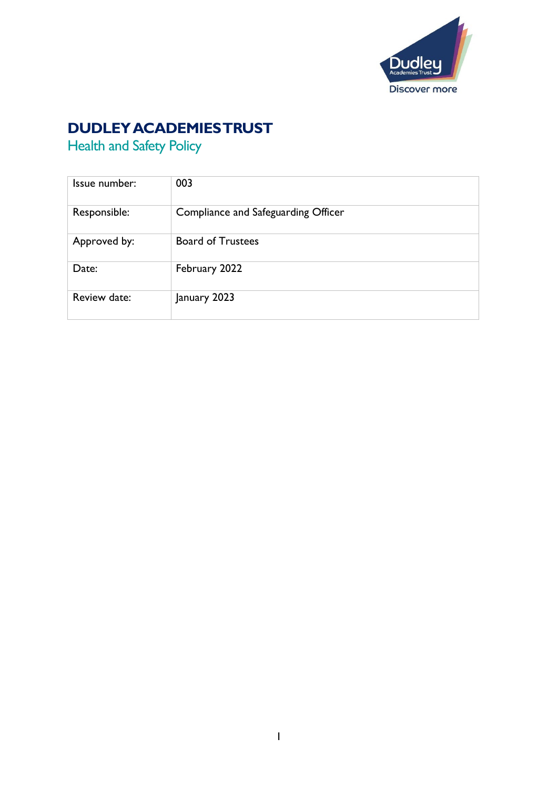

# **DUDLEY ACADEMIES TRUST**

Health and Safety Policy

| Issue number: | 003                                 |
|---------------|-------------------------------------|
| Responsible:  | Compliance and Safeguarding Officer |
| Approved by:  | <b>Board of Trustees</b>            |
| Date:         | February 2022                       |
| Review date:  | January 2023                        |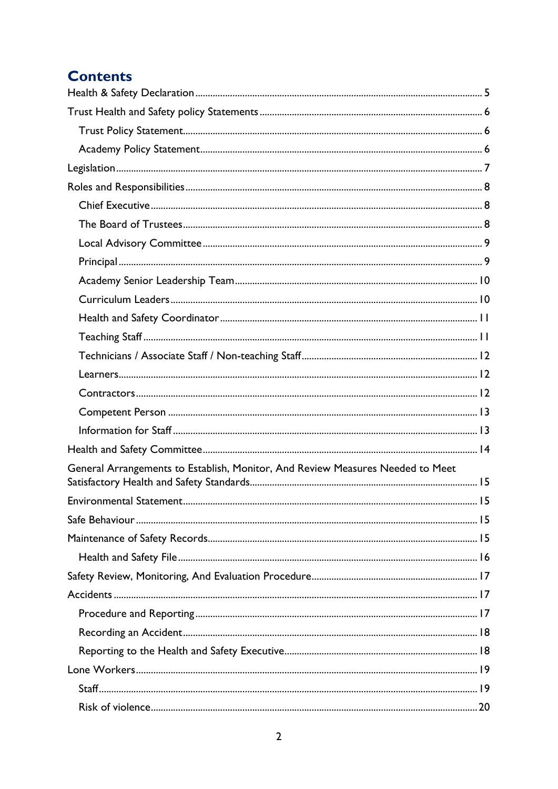# **Contents**

| General Arrangements to Establish, Monitor, And Review Measures Needed to Meet |  |
|--------------------------------------------------------------------------------|--|
|                                                                                |  |
|                                                                                |  |
|                                                                                |  |
|                                                                                |  |
|                                                                                |  |
|                                                                                |  |
|                                                                                |  |
|                                                                                |  |
|                                                                                |  |
|                                                                                |  |
|                                                                                |  |
|                                                                                |  |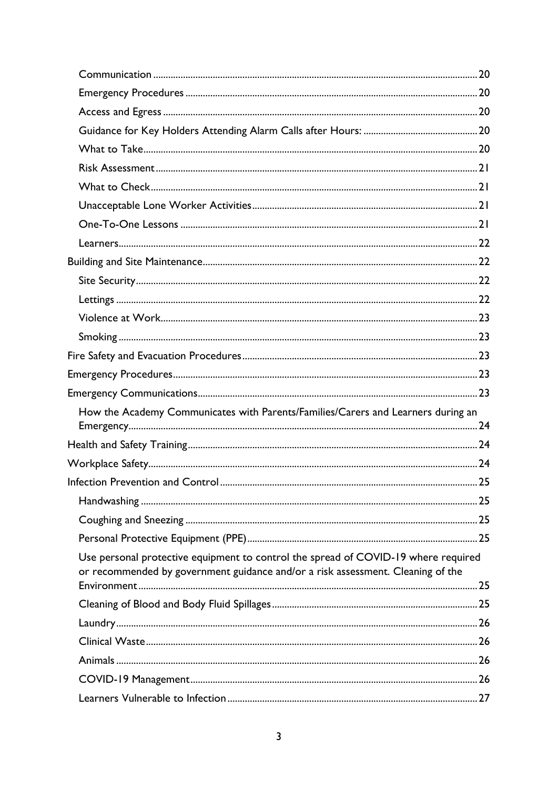| How the Academy Communicates with Parents/Families/Carers and Learners during an                                                                                      |  |
|-----------------------------------------------------------------------------------------------------------------------------------------------------------------------|--|
|                                                                                                                                                                       |  |
|                                                                                                                                                                       |  |
|                                                                                                                                                                       |  |
|                                                                                                                                                                       |  |
|                                                                                                                                                                       |  |
|                                                                                                                                                                       |  |
| Use personal protective equipment to control the spread of COVID-19 where required<br>or recommended by government guidance and/or a risk assessment. Cleaning of the |  |
|                                                                                                                                                                       |  |
|                                                                                                                                                                       |  |
|                                                                                                                                                                       |  |
|                                                                                                                                                                       |  |
|                                                                                                                                                                       |  |
|                                                                                                                                                                       |  |
|                                                                                                                                                                       |  |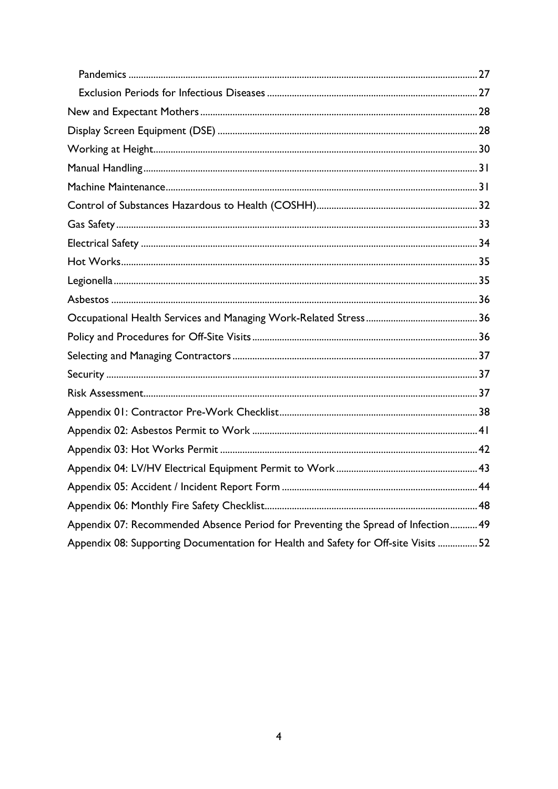| Appendix 07: Recommended Absence Period for Preventing the Spread of Infection 49  |  |
|------------------------------------------------------------------------------------|--|
| Appendix 08: Supporting Documentation for Health and Safety for Off-site Visits 52 |  |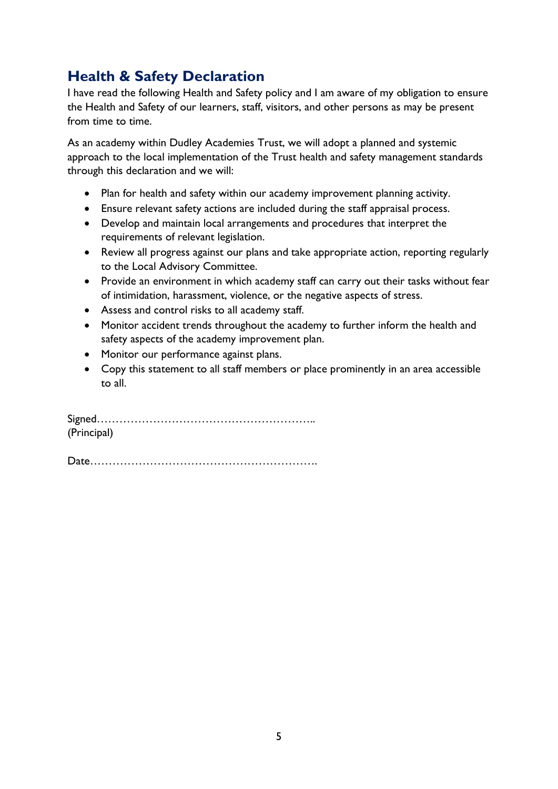## <span id="page-4-0"></span>**Health & Safety Declaration**

I have read the following Health and Safety policy and I am aware of my obligation to ensure the Health and Safety of our learners, staff, visitors, and other persons as may be present from time to time.

As an academy within Dudley Academies Trust, we will adopt a planned and systemic approach to the local implementation of the Trust health and safety management standards through this declaration and we will:

- Plan for health and safety within our academy improvement planning activity.
- Ensure relevant safety actions are included during the staff appraisal process.
- Develop and maintain local arrangements and procedures that interpret the requirements of relevant legislation.
- Review all progress against our plans and take appropriate action, reporting regularly to the Local Advisory Committee.
- Provide an environment in which academy staff can carry out their tasks without fear of intimidation, harassment, violence, or the negative aspects of stress.
- Assess and control risks to all academy staff.
- Monitor accident trends throughout the academy to further inform the health and safety aspects of the academy improvement plan.
- Monitor our performance against plans.
- Copy this statement to all staff members or place prominently in an area accessible to all.

Signed………………………………………………….. (Principal)

Date…………………………………………………….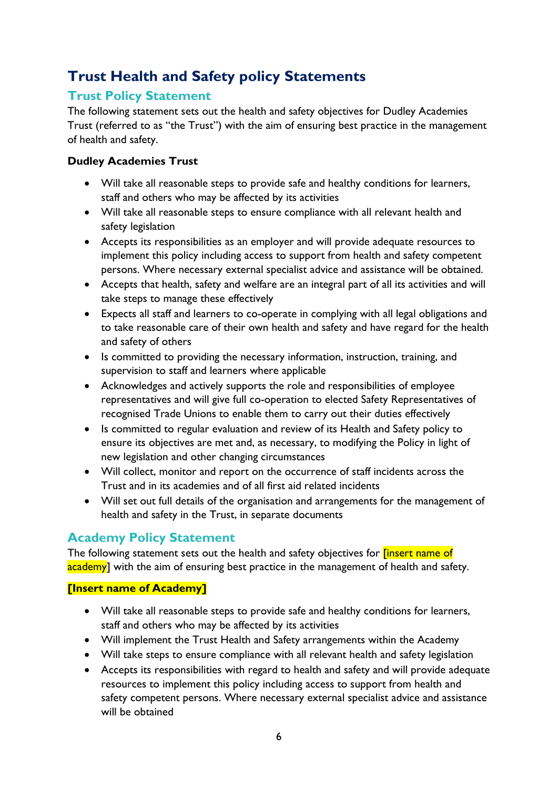# <span id="page-5-0"></span>**Trust Health and Safety policy Statements**

#### <span id="page-5-1"></span>**Trust Policy Statement**

The following statement sets out the health and safety objectives for Dudley Academies Trust (referred to as "the Trust") with the aim of ensuring best practice in the management of health and safety.

#### **Dudley Academies Trust**

- Will take all reasonable steps to provide safe and healthy conditions for learners, staff and others who may be affected by its activities
- Will take all reasonable steps to ensure compliance with all relevant health and safety legislation
- Accepts its responsibilities as an employer and will provide adequate resources to implement this policy including access to support from health and safety competent persons. Where necessary external specialist advice and assistance will be obtained.
- Accepts that health, safety and welfare are an integral part of all its activities and will take steps to manage these effectively
- Expects all staff and learners to co-operate in complying with all legal obligations and to take reasonable care of their own health and safety and have regard for the health and safety of others
- Is committed to providing the necessary information, instruction, training, and supervision to staff and learners where applicable
- Acknowledges and actively supports the role and responsibilities of employee representatives and will give full co-operation to elected Safety Representatives of recognised Trade Unions to enable them to carry out their duties effectively
- Is committed to regular evaluation and review of its Health and Safety policy to ensure its objectives are met and, as necessary, to modifying the Policy in light of new legislation and other changing circumstances
- Will collect, monitor and report on the occurrence of staff incidents across the Trust and in its academies and of all first aid related incidents
- Will set out full details of the organisation and arrangements for the management of health and safety in the Trust, in separate documents

## <span id="page-5-2"></span>**Academy Policy Statement**

The following statement sets out the health and safety objectives for **[insert name of** academy] with the aim of ensuring best practice in the management of health and safety.

#### **[Insert name of Academy]**

- Will take all reasonable steps to provide safe and healthy conditions for learners, staff and others who may be affected by its activities
- Will implement the Trust Health and Safety arrangements within the Academy
- Will take steps to ensure compliance with all relevant health and safety legislation
- Accepts its responsibilities with regard to health and safety and will provide adequate resources to implement this policy including access to support from health and safety competent persons. Where necessary external specialist advice and assistance will be obtained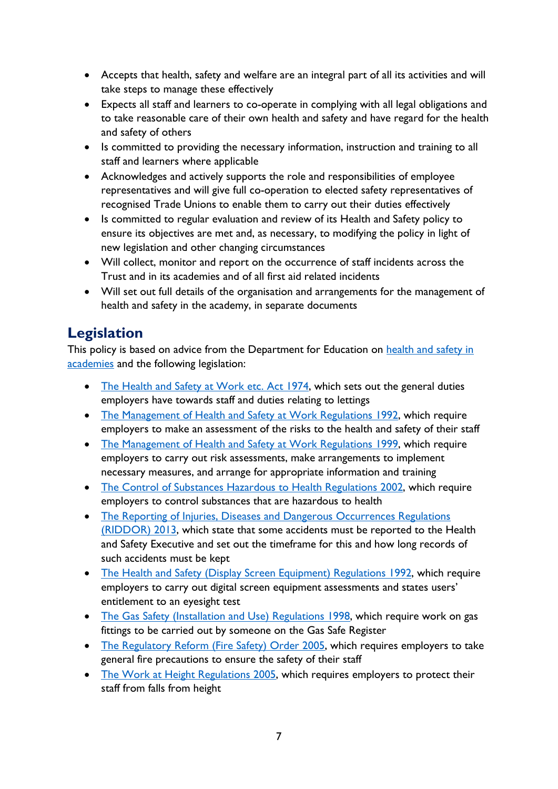- Accepts that health, safety and welfare are an integral part of all its activities and will take steps to manage these effectively
- Expects all staff and learners to co-operate in complying with all legal obligations and to take reasonable care of their own health and safety and have regard for the health and safety of others
- Is committed to providing the necessary information, instruction and training to all staff and learners where applicable
- Acknowledges and actively supports the role and responsibilities of employee representatives and will give full co-operation to elected safety representatives of recognised Trade Unions to enable them to carry out their duties effectively
- Is committed to regular evaluation and review of its Health and Safety policy to ensure its objectives are met and, as necessary, to modifying the policy in light of new legislation and other changing circumstances
- Will collect, monitor and report on the occurrence of staff incidents across the Trust and in its academies and of all first aid related incidents
- Will set out full details of the organisation and arrangements for the management of health and safety in the academy, in separate documents

# <span id="page-6-0"></span>**Legislation**

This policy is based on advice from the Department for Education on health and safety in [academies](https://www.gov.uk/government/publications/health-and-safety-advice-for-schools) and the following legislation:

- [The Health and Safety at Work etc. Act 1974,](http://www.legislation.gov.uk/ukpga/1974/37) which sets out the general duties employers have towards staff and duties relating to lettings
- [The Management of Health and Safety at Work Regulations 1992,](http://www.legislation.gov.uk/uksi/1992/2051/regulation/3/made) which require employers to make an assessment of the risks to the health and safety of their staff
- [The Management of Health and Safety at Work Regulations 1999,](http://www.legislation.gov.uk/uksi/1999/3242/contents/made) which require employers to carry out risk assessments, make arrangements to implement necessary measures, and arrange for appropriate information and training
- [The Control of Substances Hazardous to Health Regulations](http://www.legislation.gov.uk/uksi/2002/2677/contents/made) 2002, which require employers to control substances that are hazardous to health
- The Reporting of Injuries, Diseases and Dangerous Occurrences Regulations [\(RIDDOR\) 2013,](http://www.legislation.gov.uk/uksi/2013/1471/schedule/1/paragraph/1/made) which state that some accidents must be reported to the Health and Safety Executive and set out the timeframe for this and how long records of such accidents must be kept
- [The Health and Safety \(Display Screen Equipment\) Regulations 1992,](http://www.legislation.gov.uk/uksi/1992/2792/contents/made) which require employers to carry out digital screen equipment assessments and states users' entitlement to an eyesight test
- [The Gas Safety \(Installation and Use\) Regulations 1998,](http://www.legislation.gov.uk/uksi/1998/2451/regulation/4/made) which require work on gas fittings to be carried out by someone on the Gas Safe Register
- [The Regulatory Reform \(Fire Safety\) Order 2005,](http://www.legislation.gov.uk/uksi/2005/1541/part/2/made) which requires employers to take general fire precautions to ensure the safety of their staff
- [The Work at Height Regulations 2005,](http://www.legislation.gov.uk/uksi/2005/735/contents/made) which requires employers to protect their staff from falls from height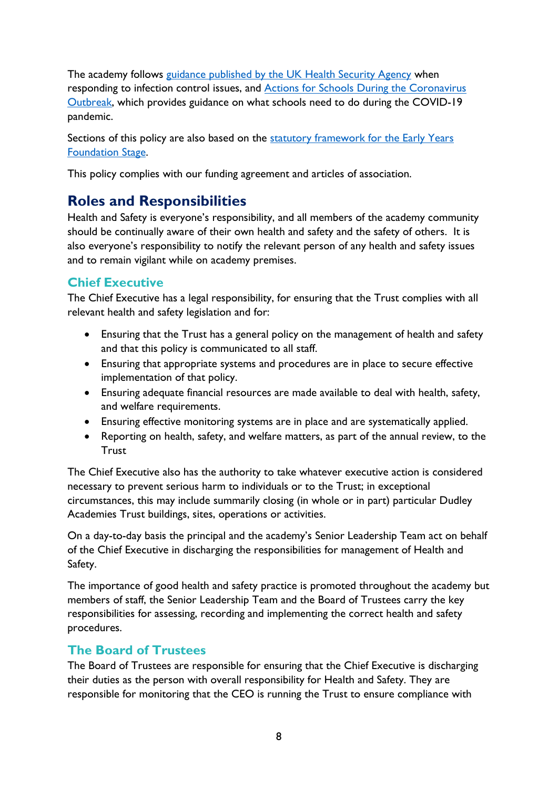The academy follows [guidance](https://www.gov.uk/government/publications/health-protection-in-schools-and-other-childcare-facilities/chapter-9-managing-specific-infectious-diseases) published by the UK Health Security Agency when responding to infection control issues, and [Actions for Schools During the Coronavirus](https://www.gov.uk/government/publications/actions-for-schools-during-the-coronavirus-outbreak)  [Outbreak,](https://www.gov.uk/government/publications/actions-for-schools-during-the-coronavirus-outbreak) which provides guidance on what schools need to do during the COVID-19 pandemic.

Sections of this policy are also based on the statutory framework for the Early Years [Foundation Stage.](https://www.gov.uk/government/publications/early-years-foundation-stage-framework--2)

This policy complies with our funding agreement and articles of association.

## <span id="page-7-0"></span>**Roles and Responsibilities**

Health and Safety is everyone's responsibility, and all members of the academy community should be continually aware of their own health and safety and the safety of others. It is also everyone's responsibility to notify the relevant person of any health and safety issues and to remain vigilant while on academy premises.

## <span id="page-7-1"></span>**Chief Executive**

The Chief Executive has a legal responsibility, for ensuring that the Trust complies with all relevant health and safety legislation and for:

- Ensuring that the Trust has a general policy on the management of health and safety and that this policy is communicated to all staff.
- Ensuring that appropriate systems and procedures are in place to secure effective implementation of that policy.
- Ensuring adequate financial resources are made available to deal with health, safety, and welfare requirements.
- Ensuring effective monitoring systems are in place and are systematically applied.
- Reporting on health, safety, and welfare matters, as part of the annual review, to the **Trust**

The Chief Executive also has the authority to take whatever executive action is considered necessary to prevent serious harm to individuals or to the Trust; in exceptional circumstances, this may include summarily closing (in whole or in part) particular Dudley Academies Trust buildings, sites, operations or activities.

On a day-to-day basis the principal and the academy's Senior Leadership Team act on behalf of the Chief Executive in discharging the responsibilities for management of Health and Safety.

The importance of good health and safety practice is promoted throughout the academy but members of staff, the Senior Leadership Team and the Board of Trustees carry the key responsibilities for assessing, recording and implementing the correct health and safety procedures.

## <span id="page-7-2"></span>**The Board of Trustees**

The Board of Trustees are responsible for ensuring that the Chief Executive is discharging their duties as the person with overall responsibility for Health and Safety. They are responsible for monitoring that the CEO is running the Trust to ensure compliance with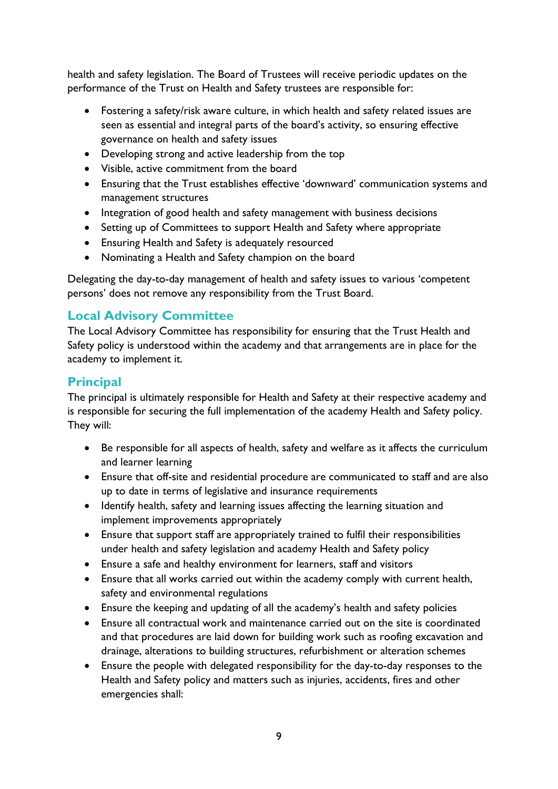health and safety legislation. The Board of Trustees will receive periodic updates on the performance of the Trust on Health and Safety trustees are responsible for:

- Fostering a safety/risk aware culture, in which health and safety related issues are seen as essential and integral parts of the board's activity, so ensuring effective governance on health and safety issues
- Developing strong and active leadership from the top
- Visible, active commitment from the board
- Ensuring that the Trust establishes effective 'downward' communication systems and management structures
- Integration of good health and safety management with business decisions
- Setting up of Committees to support Health and Safety where appropriate
- Ensuring Health and Safety is adequately resourced
- Nominating a Health and Safety champion on the board

Delegating the day-to-day management of health and safety issues to various 'competent persons' does not remove any responsibility from the Trust Board.

## <span id="page-8-0"></span>**Local Advisory Committee**

The Local Advisory Committee has responsibility for ensuring that the Trust Health and Safety policy is understood within the academy and that arrangements are in place for the academy to implement it.

## <span id="page-8-1"></span>**Principal**

The principal is ultimately responsible for Health and Safety at their respective academy and is responsible for securing the full implementation of the academy Health and Safety policy. They will:

- Be responsible for all aspects of health, safety and welfare as it affects the curriculum and learner learning
- Ensure that off-site and residential procedure are communicated to staff and are also up to date in terms of legislative and insurance requirements
- Identify health, safety and learning issues affecting the learning situation and implement improvements appropriately
- Ensure that support staff are appropriately trained to fulfil their responsibilities under health and safety legislation and academy Health and Safety policy
- Ensure a safe and healthy environment for learners, staff and visitors
- Ensure that all works carried out within the academy comply with current health, safety and environmental regulations
- Ensure the keeping and updating of all the academy's health and safety policies
- Ensure all contractual work and maintenance carried out on the site is coordinated and that procedures are laid down for building work such as roofing excavation and drainage, alterations to building structures, refurbishment or alteration schemes
- Ensure the people with delegated responsibility for the day-to-day responses to the Health and Safety policy and matters such as injuries, accidents, fires and other emergencies shall: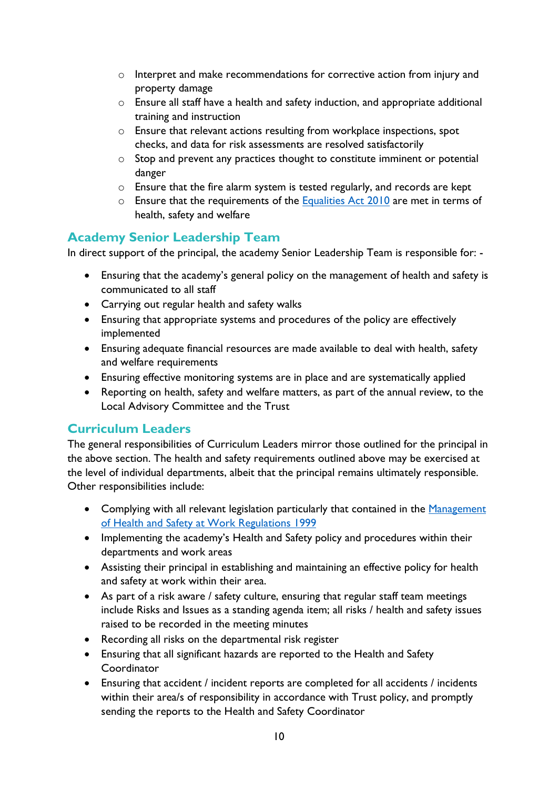- o Interpret and make recommendations for corrective action from injury and property damage
- o Ensure all staff have a health and safety induction, and appropriate additional training and instruction
- o Ensure that relevant actions resulting from workplace inspections, spot checks, and data for risk assessments are resolved satisfactorily
- o Stop and prevent any practices thought to constitute imminent or potential danger
- o Ensure that the fire alarm system is tested regularly, and records are kept
- $\circ$  Ensure that the requirements of the [Equalities Act 2010](https://www.legislation.gov.uk/ukpga/2010/15/contents) are met in terms of health, safety and welfare

## <span id="page-9-0"></span>**Academy Senior Leadership Team**

In direct support of the principal, the academy Senior Leadership Team is responsible for: -

- Ensuring that the academy's general policy on the management of health and safety is communicated to all staff
- Carrying out regular health and safety walks
- Ensuring that appropriate systems and procedures of the policy are effectively implemented
- Ensuring adequate financial resources are made available to deal with health, safety and welfare requirements
- Ensuring effective monitoring systems are in place and are systematically applied
- Reporting on health, safety and welfare matters, as part of the annual review, to the Local Advisory Committee and the Trust

#### <span id="page-9-1"></span>**Curriculum Leaders**

The general responsibilities of Curriculum Leaders mirror those outlined for the principal in the above section. The health and safety requirements outlined above may be exercised at the level of individual departments, albeit that the principal remains ultimately responsible. Other responsibilities include:

- Complying with all relevant legislation particularly that contained in the Management [of Health and Safety at Work Regulations 1999](https://www.legislation.gov.uk/uksi/1999/3242/contents/made)
- Implementing the academy's Health and Safety policy and procedures within their departments and work areas
- Assisting their principal in establishing and maintaining an effective policy for health and safety at work within their area.
- As part of a risk aware / safety culture, ensuring that regular staff team meetings include Risks and Issues as a standing agenda item; all risks / health and safety issues raised to be recorded in the meeting minutes
- Recording all risks on the departmental risk register
- Ensuring that all significant hazards are reported to the Health and Safety Coordinator
- Ensuring that accident / incident reports are completed for all accidents / incidents within their area/s of responsibility in accordance with Trust policy, and promptly sending the reports to the Health and Safety Coordinator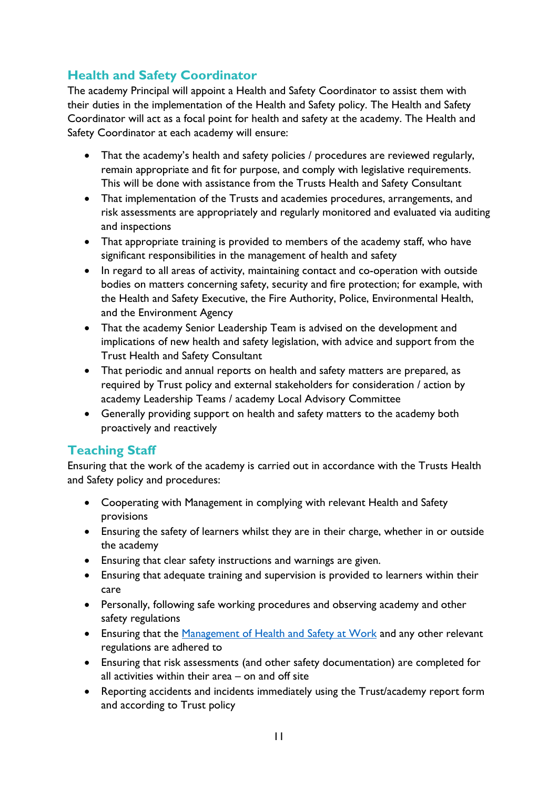## <span id="page-10-0"></span>**Health and Safety Coordinator**

The academy Principal will appoint a Health and Safety Coordinator to assist them with their duties in the implementation of the Health and Safety policy. The Health and Safety Coordinator will act as a focal point for health and safety at the academy. The Health and Safety Coordinator at each academy will ensure:

- That the academy's health and safety policies / procedures are reviewed regularly, remain appropriate and fit for purpose, and comply with legislative requirements. This will be done with assistance from the Trusts Health and Safety Consultant
- That implementation of the Trusts and academies procedures, arrangements, and risk assessments are appropriately and regularly monitored and evaluated via auditing and inspections
- That appropriate training is provided to members of the academy staff, who have significant responsibilities in the management of health and safety
- In regard to all areas of activity, maintaining contact and co-operation with outside bodies on matters concerning safety, security and fire protection; for example, with the Health and Safety Executive, the Fire Authority, Police, Environmental Health, and the Environment Agency
- That the academy Senior Leadership Team is advised on the development and implications of new health and safety legislation, with advice and support from the Trust Health and Safety Consultant
- That periodic and annual reports on health and safety matters are prepared, as required by Trust policy and external stakeholders for consideration / action by academy Leadership Teams / academy Local Advisory Committee
- Generally providing support on health and safety matters to the academy both proactively and reactively

## <span id="page-10-1"></span>**Teaching Staff**

Ensuring that the work of the academy is carried out in accordance with the Trusts Health and Safety policy and procedures:

- Cooperating with Management in complying with relevant Health and Safety provisions
- Ensuring the safety of learners whilst they are in their charge, whether in or outside the academy
- Ensuring that clear safety instructions and warnings are given.
- Ensuring that adequate training and supervision is provided to learners within their care
- Personally, following safe working procedures and observing academy and other safety regulations
- Ensuring that the [Management of Health and Safety at Work](https://www.legislation.gov.uk/uksi/1999/3242/contents/made) and any other relevant regulations are adhered to
- Ensuring that risk assessments (and other safety documentation) are completed for all activities within their area – on and off site
- Reporting accidents and incidents immediately using the Trust/academy report form and according to Trust policy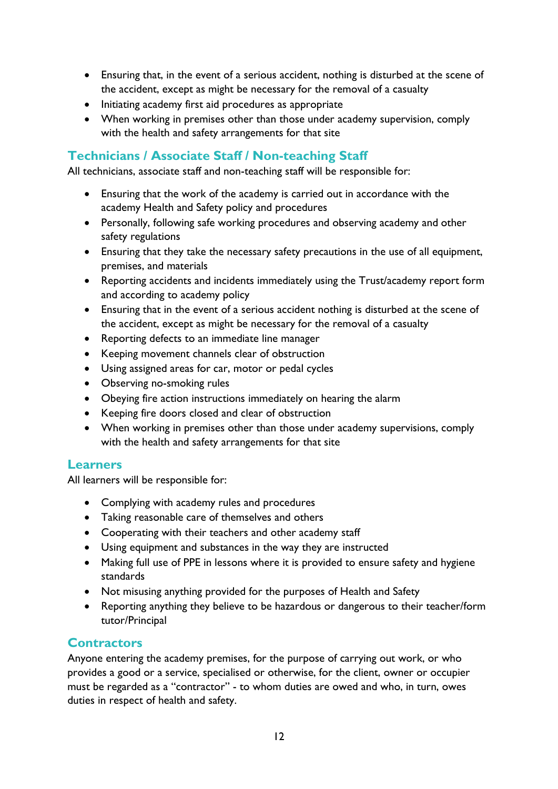- Ensuring that, in the event of a serious accident, nothing is disturbed at the scene of the accident, except as might be necessary for the removal of a casualty
- Initiating academy first aid procedures as appropriate
- When working in premises other than those under academy supervision, comply with the health and safety arrangements for that site

## <span id="page-11-0"></span>**Technicians / Associate Staff / Non-teaching Staff**

All technicians, associate staff and non-teaching staff will be responsible for:

- Ensuring that the work of the academy is carried out in accordance with the academy Health and Safety policy and procedures
- Personally, following safe working procedures and observing academy and other safety regulations
- Ensuring that they take the necessary safety precautions in the use of all equipment, premises, and materials
- Reporting accidents and incidents immediately using the Trust/academy report form and according to academy policy
- Ensuring that in the event of a serious accident nothing is disturbed at the scene of the accident, except as might be necessary for the removal of a casualty
- Reporting defects to an immediate line manager
- Keeping movement channels clear of obstruction
- Using assigned areas for car, motor or pedal cycles
- Observing no-smoking rules
- Obeying fire action instructions immediately on hearing the alarm
- Keeping fire doors closed and clear of obstruction
- When working in premises other than those under academy supervisions, comply with the health and safety arrangements for that site

#### <span id="page-11-1"></span>**Learners**

All learners will be responsible for:

- Complying with academy rules and procedures
- Taking reasonable care of themselves and others
- Cooperating with their teachers and other academy staff
- Using equipment and substances in the way they are instructed
- Making full use of PPE in lessons where it is provided to ensure safety and hygiene standards
- Not misusing anything provided for the purposes of Health and Safety
- Reporting anything they believe to be hazardous or dangerous to their teacher/form tutor/Principal

#### <span id="page-11-2"></span>**Contractors**

Anyone entering the academy premises, for the purpose of carrying out work, or who provides a good or a service, specialised or otherwise, for the client, owner or occupier must be regarded as a "contractor" - to whom duties are owed and who, in turn, owes duties in respect of health and safety.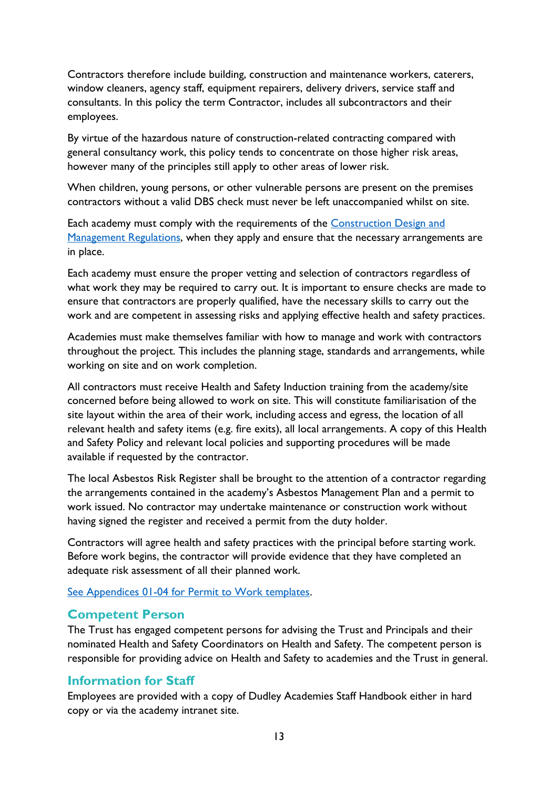Contractors therefore include building, construction and maintenance workers, caterers, window cleaners, agency staff, equipment repairers, delivery drivers, service staff and consultants. In this policy the term Contractor, includes all subcontractors and their employees.

By virtue of the hazardous nature of construction-related contracting compared with general consultancy work, this policy tends to concentrate on those higher risk areas, however many of the principles still apply to other areas of lower risk.

When children, young persons, or other vulnerable persons are present on the premises contractors without a valid DBS check must never be left unaccompanied whilst on site.

Each academy must comply with the requirements of the [Construction Design and](https://www.hse.gov.uk/construction/cdm/2015/index.htm)  [Management Regulations,](https://www.hse.gov.uk/construction/cdm/2015/index.htm) when they apply and ensure that the necessary arrangements are in place.

Each academy must ensure the proper vetting and selection of contractors regardless of what work they may be required to carry out. It is important to ensure checks are made to ensure that contractors are properly qualified, have the necessary skills to carry out the work and are competent in assessing risks and applying effective health and safety practices.

Academies must make themselves familiar with how to manage and work with contractors throughout the project. This includes the planning stage, standards and arrangements, while working on site and on work completion.

All contractors must receive Health and Safety Induction training from the academy/site concerned before being allowed to work on site. This will constitute familiarisation of the site layout within the area of their work, including access and egress, the location of all relevant health and safety items (e.g. fire exits), all local arrangements. A copy of this Health and Safety Policy and relevant local policies and supporting procedures will be made available if requested by the contractor.

The local Asbestos Risk Register shall be brought to the attention of a contractor regarding the arrangements contained in the academy's Asbestos Management Plan and a permit to work issued. No contractor may undertake maintenance or construction work without having signed the register and received a permit from the duty holder.

Contractors will agree health and safety practices with the principal before starting work. Before work begins, the contractor will provide evidence that they have completed an adequate risk assessment of all their planned work.

[See Appendices 01-04 for Permit to Work templates.](#page-37-0)

#### <span id="page-12-0"></span>**Competent Person**

The Trust has engaged competent persons for advising the Trust and Principals and their nominated Health and Safety Coordinators on Health and Safety. The competent person is responsible for providing advice on Health and Safety to academies and the Trust in general.

#### <span id="page-12-1"></span>**Information for Staff**

Employees are provided with a copy of Dudley Academies Staff Handbook either in hard copy or via the academy intranet site.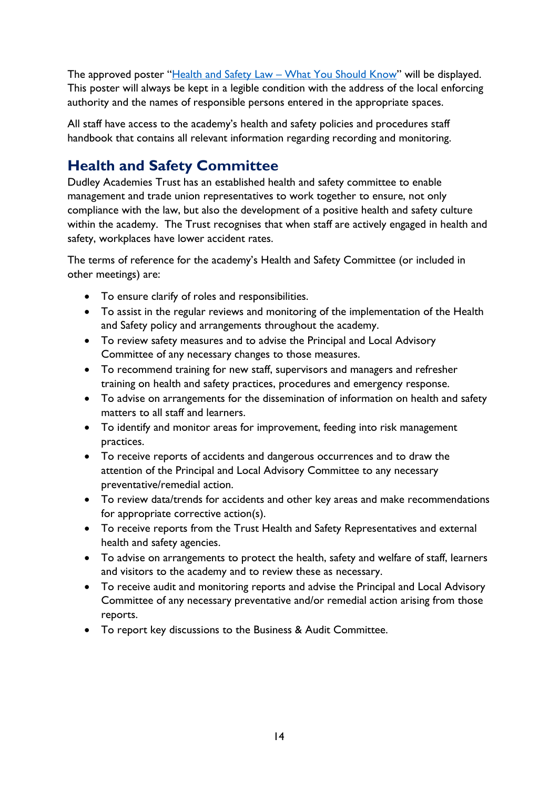The approved poster "Health and Safety Law – [What You Should Know"](https://www.hse.gov.uk/pubns/books/lawposter.htm) will be displayed. This poster will always be kept in a legible condition with the address of the local enforcing authority and the names of responsible persons entered in the appropriate spaces.

All staff have access to the academy's health and safety policies and procedures staff handbook that contains all relevant information regarding recording and monitoring.

## <span id="page-13-0"></span>**Health and Safety Committee**

Dudley Academies Trust has an established health and safety committee to enable management and trade union representatives to work together to ensure, not only compliance with the law, but also the development of a positive health and safety culture within the academy. The Trust recognises that when staff are actively engaged in health and safety, workplaces have lower accident rates.

The terms of reference for the academy's Health and Safety Committee (or included in other meetings) are:

- To ensure clarify of roles and responsibilities.
- To assist in the regular reviews and monitoring of the implementation of the Health and Safety policy and arrangements throughout the academy.
- To review safety measures and to advise the Principal and Local Advisory Committee of any necessary changes to those measures.
- To recommend training for new staff, supervisors and managers and refresher training on health and safety practices, procedures and emergency response.
- To advise on arrangements for the dissemination of information on health and safety matters to all staff and learners.
- To identify and monitor areas for improvement, feeding into risk management practices.
- To receive reports of accidents and dangerous occurrences and to draw the attention of the Principal and Local Advisory Committee to any necessary preventative/remedial action.
- To review data/trends for accidents and other key areas and make recommendations for appropriate corrective action(s).
- To receive reports from the Trust Health and Safety Representatives and external health and safety agencies.
- To advise on arrangements to protect the health, safety and welfare of staff, learners and visitors to the academy and to review these as necessary.
- To receive audit and monitoring reports and advise the Principal and Local Advisory Committee of any necessary preventative and/or remedial action arising from those reports.
- To report key discussions to the Business & Audit Committee.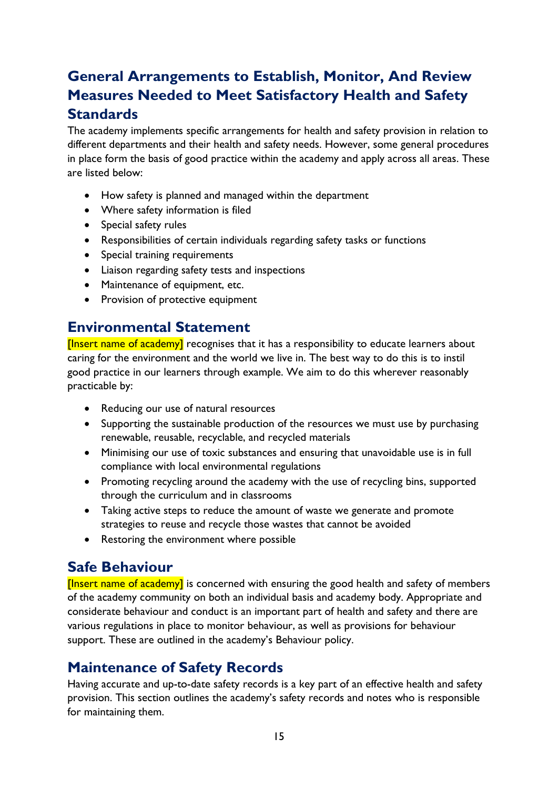# <span id="page-14-0"></span>**General Arrangements to Establish, Monitor, And Review Measures Needed to Meet Satisfactory Health and Safety Standards**

The academy implements specific arrangements for health and safety provision in relation to different departments and their health and safety needs. However, some general procedures in place form the basis of good practice within the academy and apply across all areas. These are listed below:

- How safety is planned and managed within the department
- Where safety information is filed
- Special safety rules
- Responsibilities of certain individuals regarding safety tasks or functions
- Special training requirements
- Liaison regarding safety tests and inspections
- Maintenance of equipment, etc.
- Provision of protective equipment

## <span id="page-14-1"></span>**Environmental Statement**

[Insert name of academy] recognises that it has a responsibility to educate learners about caring for the environment and the world we live in. The best way to do this is to instil good practice in our learners through example. We aim to do this wherever reasonably practicable by:

- Reducing our use of natural resources
- Supporting the sustainable production of the resources we must use by purchasing renewable, reusable, recyclable, and recycled materials
- Minimising our use of toxic substances and ensuring that unavoidable use is in full compliance with local environmental regulations
- Promoting recycling around the academy with the use of recycling bins, supported through the curriculum and in classrooms
- Taking active steps to reduce the amount of waste we generate and promote strategies to reuse and recycle those wastes that cannot be avoided
- Restoring the environment where possible

## <span id="page-14-2"></span>**Safe Behaviour**

[Insert name of academy] is concerned with ensuring the good health and safety of members of the academy community on both an individual basis and academy body. Appropriate and considerate behaviour and conduct is an important part of health and safety and there are various regulations in place to monitor behaviour, as well as provisions for behaviour support. These are outlined in the academy's Behaviour policy.

## <span id="page-14-3"></span>**Maintenance of Safety Records**

Having accurate and up-to-date safety records is a key part of an effective health and safety provision. This section outlines the academy's safety records and notes who is responsible for maintaining them.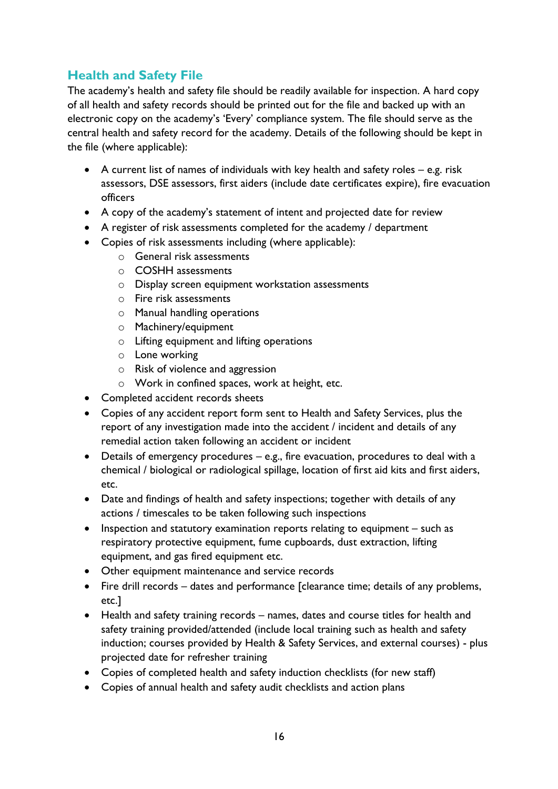## <span id="page-15-0"></span>**Health and Safety File**

The academy's health and safety file should be readily available for inspection. A hard copy of all health and safety records should be printed out for the file and backed up with an electronic copy on the academy's 'Every' compliance system. The file should serve as the central health and safety record for the academy. Details of the following should be kept in the file (where applicable):

- A current list of names of individuals with key health and safety roles e.g. risk assessors, DSE assessors, first aiders (include date certificates expire), fire evacuation officers
- A copy of the academy's statement of intent and projected date for review
- A register of risk assessments completed for the academy / department
- Copies of risk assessments including (where applicable):
	- o General risk assessments
	- o COSHH assessments
	- o Display screen equipment workstation assessments
	- o Fire risk assessments
	- o Manual handling operations
	- o Machinery/equipment
	- o Lifting equipment and lifting operations
	- o Lone working
	- o Risk of violence and aggression
	- o Work in confined spaces, work at height, etc.
- Completed accident records sheets
- Copies of any accident report form sent to Health and Safety Services, plus the report of any investigation made into the accident / incident and details of any remedial action taken following an accident or incident
- Details of emergency procedures e.g., fire evacuation, procedures to deal with a chemical / biological or radiological spillage, location of first aid kits and first aiders, etc.
- Date and findings of health and safety inspections; together with details of any actions / timescales to be taken following such inspections
- Inspection and statutory examination reports relating to equipment such as respiratory protective equipment, fume cupboards, dust extraction, lifting equipment, and gas fired equipment etc.
- Other equipment maintenance and service records
- Fire drill records dates and performance [clearance time; details of any problems, etc.]
- Health and safety training records names, dates and course titles for health and safety training provided/attended (include local training such as health and safety induction; courses provided by Health & Safety Services, and external courses) - plus projected date for refresher training
- Copies of completed health and safety induction checklists (for new staff)
- Copies of annual health and safety audit checklists and action plans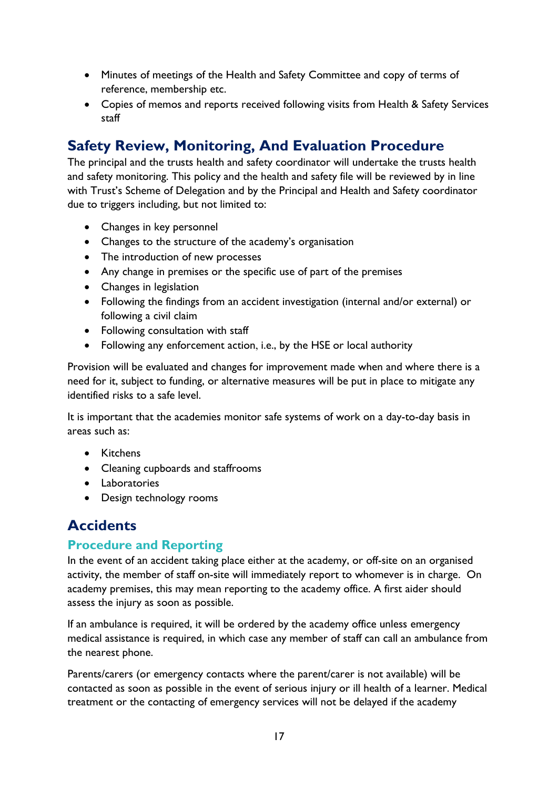- Minutes of meetings of the Health and Safety Committee and copy of terms of reference, membership etc.
- Copies of memos and reports received following visits from Health & Safety Services staff

## <span id="page-16-0"></span>**Safety Review, Monitoring, And Evaluation Procedure**

The principal and the trusts health and safety coordinator will undertake the trusts health and safety monitoring. This policy and the health and safety file will be reviewed by in line with Trust's Scheme of Delegation and by the Principal and Health and Safety coordinator due to triggers including, but not limited to:

- Changes in key personnel
- Changes to the structure of the academy's organisation
- The introduction of new processes
- Any change in premises or the specific use of part of the premises
- Changes in legislation
- Following the findings from an accident investigation (internal and/or external) or following a civil claim
- Following consultation with staff
- Following any enforcement action, i.e., by the HSE or local authority

Provision will be evaluated and changes for improvement made when and where there is a need for it, subject to funding, or alternative measures will be put in place to mitigate any identified risks to a safe level.

It is important that the academies monitor safe systems of work on a day-to-day basis in areas such as:

- Kitchens
- Cleaning cupboards and staffrooms
- Laboratories
- Design technology rooms

## <span id="page-16-1"></span>**Accidents**

#### <span id="page-16-2"></span>**Procedure and Reporting**

In the event of an accident taking place either at the academy, or off-site on an organised activity, the member of staff on-site will immediately report to whomever is in charge. On academy premises, this may mean reporting to the academy office. A first aider should assess the injury as soon as possible.

If an ambulance is required, it will be ordered by the academy office unless emergency medical assistance is required, in which case any member of staff can call an ambulance from the nearest phone.

Parents/carers (or emergency contacts where the parent/carer is not available) will be contacted as soon as possible in the event of serious injury or ill health of a learner. Medical treatment or the contacting of emergency services will not be delayed if the academy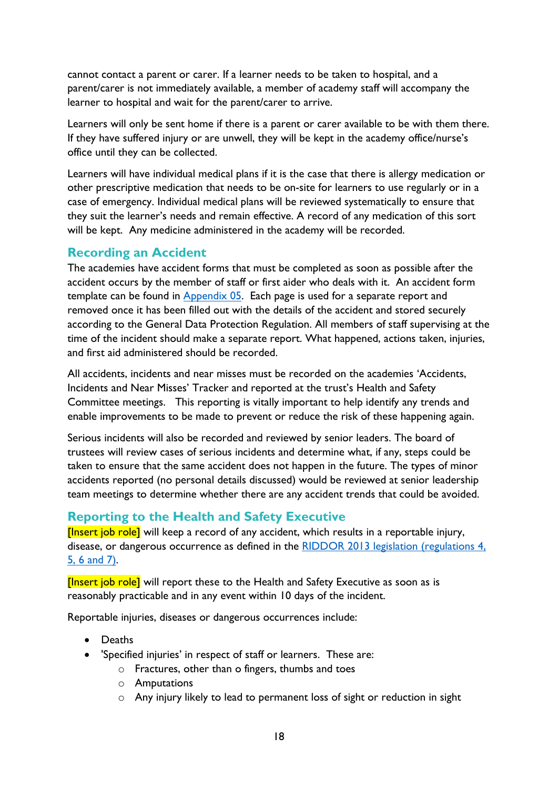cannot contact a parent or carer. If a learner needs to be taken to hospital, and a parent/carer is not immediately available, a member of academy staff will accompany the learner to hospital and wait for the parent/carer to arrive.

Learners will only be sent home if there is a parent or carer available to be with them there. If they have suffered injury or are unwell, they will be kept in the academy office/nurse's office until they can be collected.

Learners will have individual medical plans if it is the case that there is allergy medication or other prescriptive medication that needs to be on-site for learners to use regularly or in a case of emergency. Individual medical plans will be reviewed systematically to ensure that they suit the learner's needs and remain effective. A record of any medication of this sort will be kept. Any medicine administered in the academy will be recorded.

#### <span id="page-17-0"></span>**Recording an Accident**

The academies have accident forms that must be completed as soon as possible after the accident occurs by the member of staff or first aider who deals with it. An accident form template can be found in [Appendix 05.](#page-43-0) Each page is used for a separate report and removed once it has been filled out with the details of the accident and stored securely according to the General Data Protection Regulation. All members of staff supervising at the time of the incident should make a separate report. What happened, actions taken, injuries, and first aid administered should be recorded.

All accidents, incidents and near misses must be recorded on the academies 'Accidents, Incidents and Near Misses' Tracker and reported at the trust's Health and Safety Committee meetings. This reporting is vitally important to help identify any trends and enable improvements to be made to prevent or reduce the risk of these happening again.

Serious incidents will also be recorded and reviewed by senior leaders. The board of trustees will review cases of serious incidents and determine what, if any, steps could be taken to ensure that the same accident does not happen in the future. The types of minor accidents reported (no personal details discussed) would be reviewed at senior leadership team meetings to determine whether there are any accident trends that could be avoided.

## <span id="page-17-1"></span>**Reporting to the Health and Safety Executive**

[Insert job role] will keep a record of any accident, which results in a reportable injury, disease, or dangerous occurrence as defined in the RIDDOR 2013 legislation (regulations 4, [5, 6 and 7\).](https://www.legislation.gov.uk/uksi/2013/1471/contents/made)

[Insert job role] will report these to the Health and Safety Executive as soon as is reasonably practicable and in any event within 10 days of the incident.

Reportable injuries, diseases or dangerous occurrences include:

- Deaths
- 'Specified injuries' in respect of staff or learners. These are:
	- o Fractures, other than o fingers, thumbs and toes
	- o Amputations
	- o Any injury likely to lead to permanent loss of sight or reduction in sight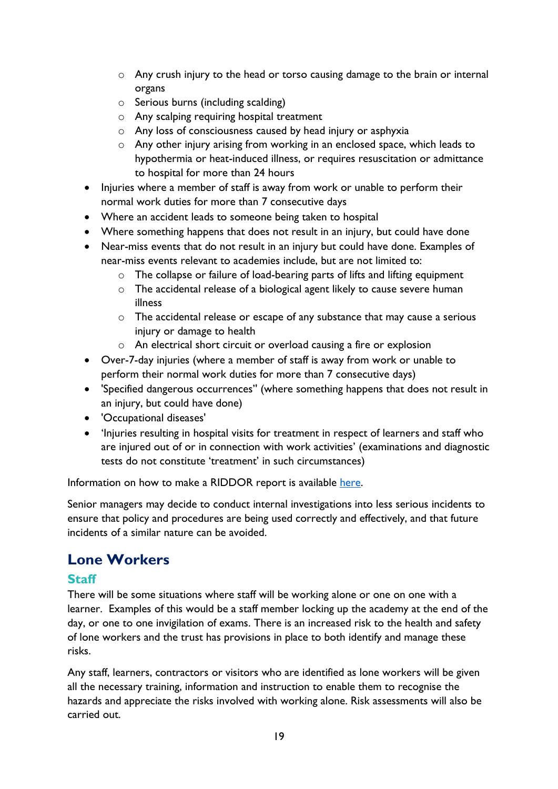- o Any crush injury to the head or torso causing damage to the brain or internal organs
- o Serious burns (including scalding)
- o Any scalping requiring hospital treatment
- o Any loss of consciousness caused by head injury or asphyxia
- o Any other injury arising from working in an enclosed space, which leads to hypothermia or heat-induced illness, or requires resuscitation or admittance to hospital for more than 24 hours
- Injuries where a member of staff is away from work or unable to perform their normal work duties for more than 7 consecutive days
- Where an accident leads to someone being taken to hospital
- Where something happens that does not result in an injury, but could have done
- Near-miss events that do not result in an injury but could have done. Examples of near-miss events relevant to academies include, but are not limited to:
	- o The collapse or failure of load-bearing parts of lifts and lifting equipment
	- o The accidental release of a biological agent likely to cause severe human illness
	- o The accidental release or escape of any substance that may cause a serious injury or damage to health
	- o An electrical short circuit or overload causing a fire or explosion
- Over-7-day injuries (where a member of staff is away from work or unable to perform their normal work duties for more than 7 consecutive days)
- 'Specified dangerous occurrences'' (where something happens that does not result in an injury, but could have done)
- 'Occupational diseases'
- 'Injuries resulting in hospital visits for treatment in respect of learners and staff who are injured out of or in connection with work activities' (examinations and diagnostic tests do not constitute 'treatment' in such circumstances)

Information on how to make a RIDDOR report is available [here.](https://www.hse.gov.uk/riddor/report.htm)

Senior managers may decide to conduct internal investigations into less serious incidents to ensure that policy and procedures are being used correctly and effectively, and that future incidents of a similar nature can be avoided.

## <span id="page-18-0"></span>**Lone Workers**

#### <span id="page-18-1"></span>**Staff**

There will be some situations where staff will be working alone or one on one with a learner. Examples of this would be a staff member locking up the academy at the end of the day, or one to one invigilation of exams. There is an increased risk to the health and safety of lone workers and the trust has provisions in place to both identify and manage these risks.

Any staff, learners, contractors or visitors who are identified as lone workers will be given all the necessary training, information and instruction to enable them to recognise the hazards and appreciate the risks involved with working alone. Risk assessments will also be carried out.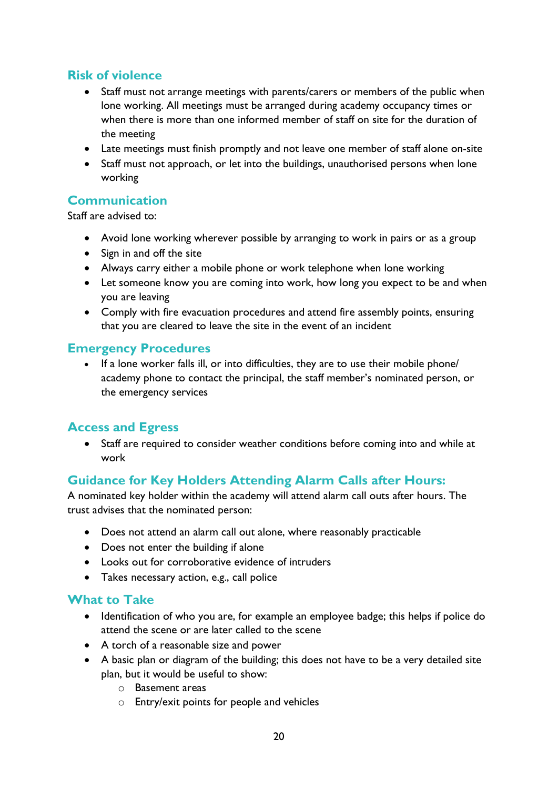## <span id="page-19-0"></span>**Risk of violence**

- Staff must not arrange meetings with parents/carers or members of the public when lone working. All meetings must be arranged during academy occupancy times or when there is more than one informed member of staff on site for the duration of the meeting
- Late meetings must finish promptly and not leave one member of staff alone on-site
- Staff must not approach, or let into the buildings, unauthorised persons when lone working

#### <span id="page-19-1"></span>**Communication**

Staff are advised to:

- Avoid lone working wherever possible by arranging to work in pairs or as a group
- Sign in and off the site
- Always carry either a mobile phone or work telephone when lone working
- Let someone know you are coming into work, how long you expect to be and when you are leaving
- Comply with fire evacuation procedures and attend fire assembly points, ensuring that you are cleared to leave the site in the event of an incident

#### <span id="page-19-2"></span>**Emergency Procedures**

• If a lone worker falls ill, or into difficulties, they are to use their mobile phone/ academy phone to contact the principal, the staff member's nominated person, or the emergency services

#### <span id="page-19-3"></span>**Access and Egress**

• Staff are required to consider weather conditions before coming into and while at work

## <span id="page-19-4"></span>**Guidance for Key Holders Attending Alarm Calls after Hours:**

A nominated key holder within the academy will attend alarm call outs after hours. The trust advises that the nominated person:

- Does not attend an alarm call out alone, where reasonably practicable
- Does not enter the building if alone
- Looks out for corroborative evidence of intruders
- Takes necessary action, e.g., call police

#### <span id="page-19-5"></span>**What to Take**

- Identification of who you are, for example an employee badge; this helps if police do attend the scene or are later called to the scene
- A torch of a reasonable size and power
- A basic plan or diagram of the building; this does not have to be a very detailed site plan, but it would be useful to show:
	- o Basement areas
	- o Entry/exit points for people and vehicles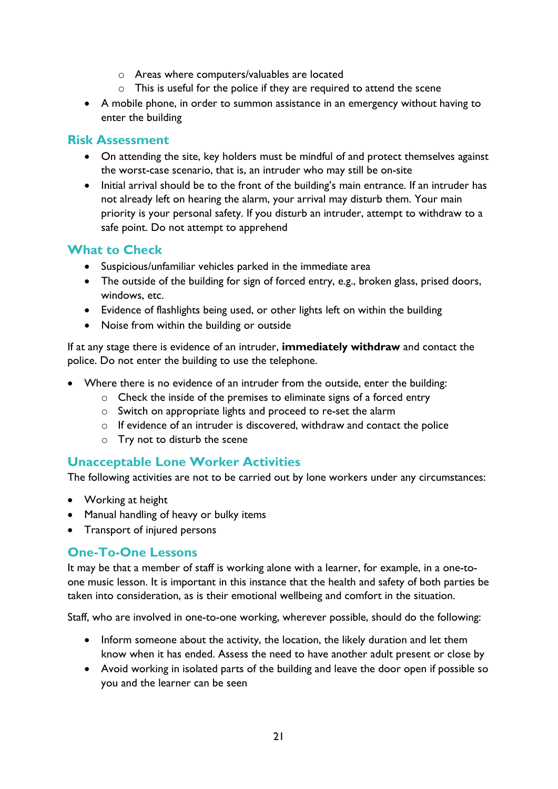- o Areas where computers/valuables are located
- o This is useful for the police if they are required to attend the scene
- A mobile phone, in order to summon assistance in an emergency without having to enter the building

#### <span id="page-20-0"></span>**Risk Assessment**

- On attending the site, key holders must be mindful of and protect themselves against the worst-case scenario, that is, an intruder who may still be on-site
- Initial arrival should be to the front of the building's main entrance. If an intruder has not already left on hearing the alarm, your arrival may disturb them. Your main priority is your personal safety. If you disturb an intruder, attempt to withdraw to a safe point. Do not attempt to apprehend

#### <span id="page-20-1"></span>**What to Check**

- Suspicious/unfamiliar vehicles parked in the immediate area
- The outside of the building for sign of forced entry, e.g., broken glass, prised doors, windows, etc.
- Evidence of flashlights being used, or other lights left on within the building
- Noise from within the building or outside

If at any stage there is evidence of an intruder, **immediately withdraw** and contact the police. Do not enter the building to use the telephone.

- Where there is no evidence of an intruder from the outside, enter the building:
	- o Check the inside of the premises to eliminate signs of a forced entry
	- o Switch on appropriate lights and proceed to re-set the alarm
	- o If evidence of an intruder is discovered, withdraw and contact the police
	- o Try not to disturb the scene

#### <span id="page-20-2"></span>**Unacceptable Lone Worker Activities**

The following activities are not to be carried out by lone workers under any circumstances:

- Working at height
- Manual handling of heavy or bulky items
- Transport of injured persons

#### <span id="page-20-3"></span>**One-To-One Lessons**

It may be that a member of staff is working alone with a learner, for example, in a one-toone music lesson. It is important in this instance that the health and safety of both parties be taken into consideration, as is their emotional wellbeing and comfort in the situation.

Staff, who are involved in one-to-one working, wherever possible, should do the following:

- Inform someone about the activity, the location, the likely duration and let them know when it has ended. Assess the need to have another adult present or close by
- Avoid working in isolated parts of the building and leave the door open if possible so you and the learner can be seen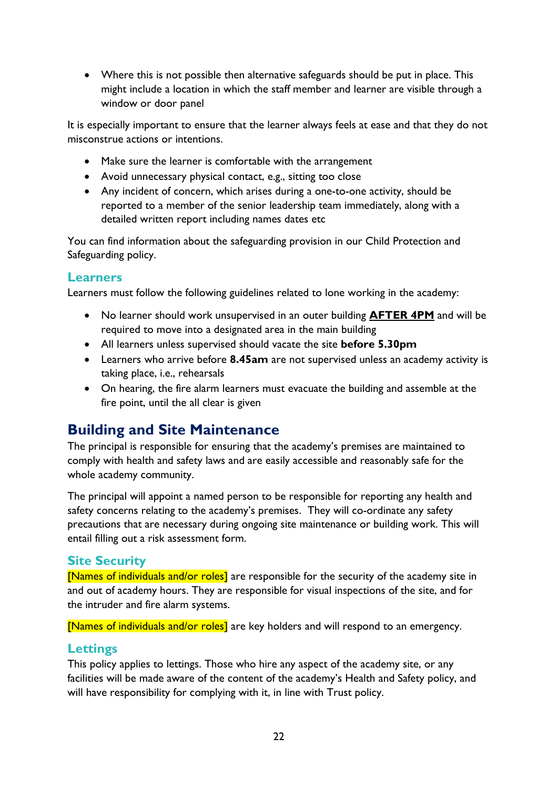• Where this is not possible then alternative safeguards should be put in place. This might include a location in which the staff member and learner are visible through a window or door panel

It is especially important to ensure that the learner always feels at ease and that they do not misconstrue actions or intentions.

- Make sure the learner is comfortable with the arrangement
- Avoid unnecessary physical contact, e.g., sitting too close
- Any incident of concern, which arises during a one-to-one activity, should be reported to a member of the senior leadership team immediately, along with a detailed written report including names dates etc

You can find information about the safeguarding provision in our Child Protection and Safeguarding policy.

#### <span id="page-21-0"></span>**Learners**

Learners must follow the following guidelines related to lone working in the academy:

- No learner should work unsupervised in an outer building **AFTER 4PM** and will be required to move into a designated area in the main building
- All learners unless supervised should vacate the site **before 5.30pm**
- Learners who arrive before **8.45am** are not supervised unless an academy activity is taking place, i.e., rehearsals
- On hearing, the fire alarm learners must evacuate the building and assemble at the fire point, until the all clear is given

## <span id="page-21-1"></span>**Building and Site Maintenance**

The principal is responsible for ensuring that the academy's premises are maintained to comply with health and safety laws and are easily accessible and reasonably safe for the whole academy community.

The principal will appoint a named person to be responsible for reporting any health and safety concerns relating to the academy's premises. They will co-ordinate any safety precautions that are necessary during ongoing site maintenance or building work. This will entail filling out a risk assessment form.

#### <span id="page-21-2"></span>**Site Security**

[Names of individuals and/or roles] are responsible for the security of the academy site in and out of academy hours. They are responsible for visual inspections of the site, and for the intruder and fire alarm systems.

[Names of individuals and/or roles] are key holders and will respond to an emergency.

#### <span id="page-21-3"></span>**Lettings**

This policy applies to lettings. Those who hire any aspect of the academy site, or any facilities will be made aware of the content of the academy's Health and Safety policy, and will have responsibility for complying with it, in line with Trust policy.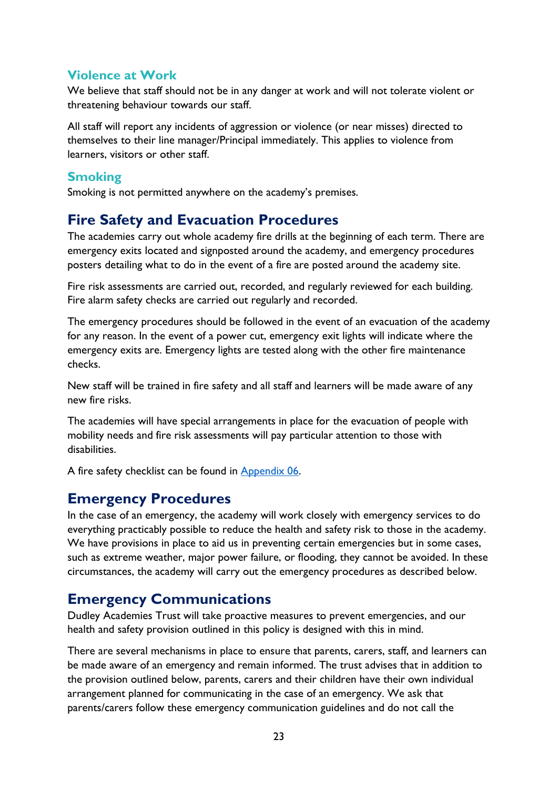#### <span id="page-22-0"></span>**Violence at Work**

We believe that staff should not be in any danger at work and will not tolerate violent or threatening behaviour towards our staff.

All staff will report any incidents of aggression or violence (or near misses) directed to themselves to their line manager/Principal immediately. This applies to violence from learners, visitors or other staff.

#### <span id="page-22-1"></span>**Smoking**

Smoking is not permitted anywhere on the academy's premises.

## <span id="page-22-2"></span>**Fire Safety and Evacuation Procedures**

The academies carry out whole academy fire drills at the beginning of each term. There are emergency exits located and signposted around the academy, and emergency procedures posters detailing what to do in the event of a fire are posted around the academy site.

Fire risk assessments are carried out, recorded, and regularly reviewed for each building. Fire alarm safety checks are carried out regularly and recorded.

The emergency procedures should be followed in the event of an evacuation of the academy for any reason. In the event of a power cut, emergency exit lights will indicate where the emergency exits are. Emergency lights are tested along with the other fire maintenance checks.

New staff will be trained in fire safety and all staff and learners will be made aware of any new fire risks.

The academies will have special arrangements in place for the evacuation of people with mobility needs and fire risk assessments will pay particular attention to those with disabilities.

A fire safety checklist can be found in [Appendix 06.](#page-47-0)

## <span id="page-22-3"></span>**Emergency Procedures**

In the case of an emergency, the academy will work closely with emergency services to do everything practicably possible to reduce the health and safety risk to those in the academy. We have provisions in place to aid us in preventing certain emergencies but in some cases, such as extreme weather, major power failure, or flooding, they cannot be avoided. In these circumstances, the academy will carry out the emergency procedures as described below.

## <span id="page-22-4"></span>**Emergency Communications**

Dudley Academies Trust will take proactive measures to prevent emergencies, and our health and safety provision outlined in this policy is designed with this in mind.

There are several mechanisms in place to ensure that parents, carers, staff, and learners can be made aware of an emergency and remain informed. The trust advises that in addition to the provision outlined below, parents, carers and their children have their own individual arrangement planned for communicating in the case of an emergency. We ask that parents/carers follow these emergency communication guidelines and do not call the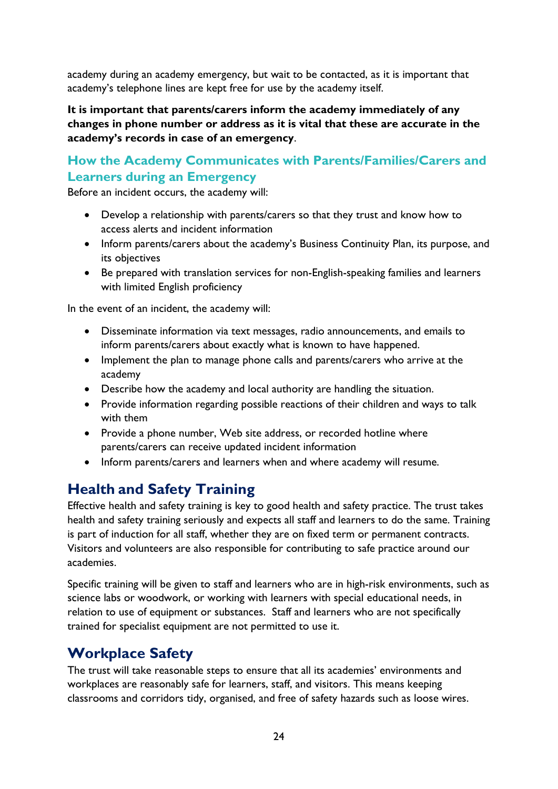academy during an academy emergency, but wait to be contacted, as it is important that academy's telephone lines are kept free for use by the academy itself.

**It is important that parents/carers inform the academy immediately of any changes in phone number or address as it is vital that these are accurate in the academy's records in case of an emergency**.

## <span id="page-23-0"></span>**How the Academy Communicates with Parents/Families/Carers and Learners during an Emergency**

Before an incident occurs, the academy will:

- Develop a relationship with parents/carers so that they trust and know how to access alerts and incident information
- Inform parents/carers about the academy's Business Continuity Plan, its purpose, and its objectives
- Be prepared with translation services for non-English-speaking families and learners with limited English proficiency

In the event of an incident, the academy will:

- Disseminate information via text messages, radio announcements, and emails to inform parents/carers about exactly what is known to have happened.
- Implement the plan to manage phone calls and parents/carers who arrive at the academy
- Describe how the academy and local authority are handling the situation.
- Provide information regarding possible reactions of their children and ways to talk with them
- Provide a phone number, Web site address, or recorded hotline where parents/carers can receive updated incident information
- Inform parents/carers and learners when and where academy will resume.

## <span id="page-23-1"></span>**Health and Safety Training**

Effective health and safety training is key to good health and safety practice. The trust takes health and safety training seriously and expects all staff and learners to do the same. Training is part of induction for all staff, whether they are on fixed term or permanent contracts. Visitors and volunteers are also responsible for contributing to safe practice around our academies.

Specific training will be given to staff and learners who are in high-risk environments, such as science labs or woodwork, or working with learners with special educational needs, in relation to use of equipment or substances. Staff and learners who are not specifically trained for specialist equipment are not permitted to use it.

## <span id="page-23-2"></span>**Workplace Safety**

The trust will take reasonable steps to ensure that all its academies' environments and workplaces are reasonably safe for learners, staff, and visitors. This means keeping classrooms and corridors tidy, organised, and free of safety hazards such as loose wires.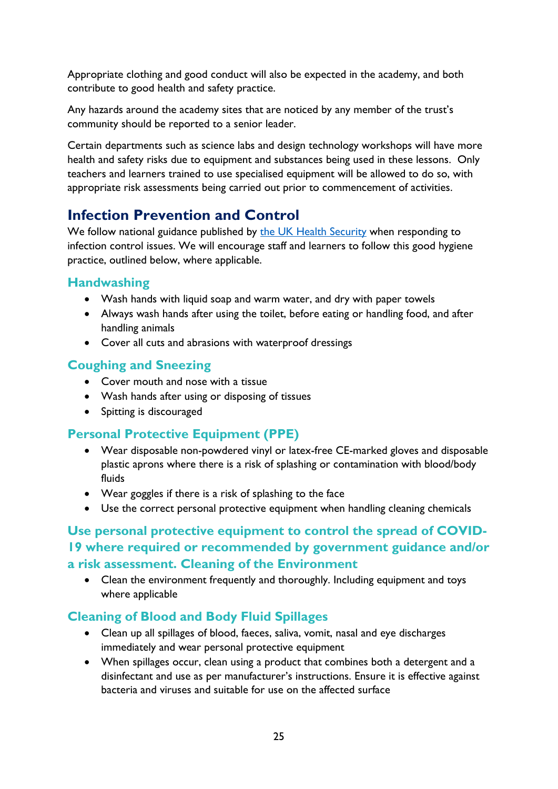Appropriate clothing and good conduct will also be expected in the academy, and both contribute to good health and safety practice.

Any hazards around the academy sites that are noticed by any member of the trust's community should be reported to a senior leader.

Certain departments such as science labs and design technology workshops will have more health and safety risks due to equipment and substances being used in these lessons. Only teachers and learners trained to use specialised equipment will be allowed to do so, with appropriate risk assessments being carried out prior to commencement of activities.

## <span id="page-24-0"></span>**Infection Prevention and Control**

We follow national guidance published by the [UK Health Security](https://www.gov.uk/government/organisations/public-health-england) when responding to infection control issues. We will encourage staff and learners to follow this good hygiene practice, outlined below, where applicable.

#### <span id="page-24-1"></span>**Handwashing**

- Wash hands with liquid soap and warm water, and dry with paper towels
- Always wash hands after using the toilet, before eating or handling food, and after handling animals
- Cover all cuts and abrasions with waterproof dressings

## <span id="page-24-2"></span>**Coughing and Sneezing**

- Cover mouth and nose with a tissue
- Wash hands after using or disposing of tissues
- Spitting is discouraged

## <span id="page-24-3"></span>**Personal Protective Equipment (PPE)**

- Wear disposable non-powdered vinyl or latex-free CE-marked gloves and disposable plastic aprons where there is a risk of splashing or contamination with blood/body fluids
- Wear goggles if there is a risk of splashing to the face
- Use the correct personal protective equipment when handling cleaning chemicals

## <span id="page-24-4"></span>**Use personal protective equipment to control the spread of COVID-19 where required or recommended by government guidance and/or a risk assessment. Cleaning of the Environment**

• Clean the environment frequently and thoroughly. Including equipment and toys where applicable

## <span id="page-24-5"></span>**Cleaning of Blood and Body Fluid Spillages**

- Clean up all spillages of blood, faeces, saliva, vomit, nasal and eye discharges immediately and wear personal protective equipment
- When spillages occur, clean using a product that combines both a detergent and a disinfectant and use as per manufacturer's instructions. Ensure it is effective against bacteria and viruses and suitable for use on the affected surface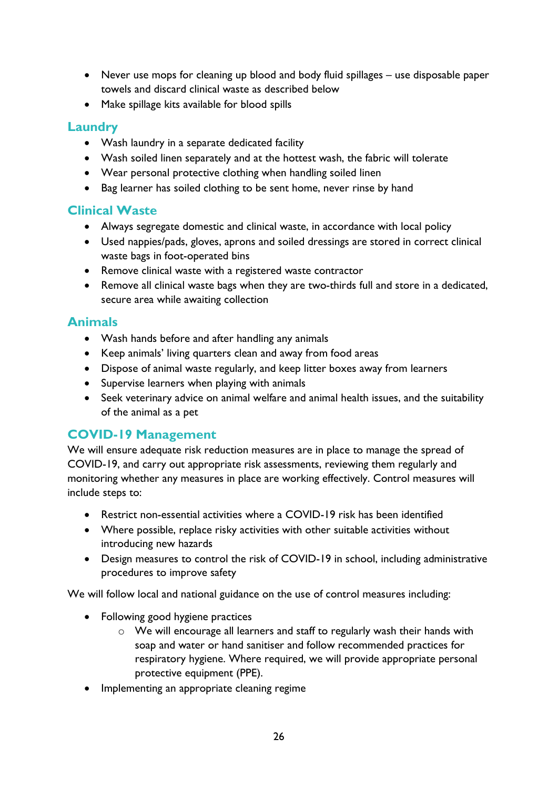- Never use mops for cleaning up blood and body fluid spillages use disposable paper towels and discard clinical waste as described below
- Make spillage kits available for blood spills

#### <span id="page-25-0"></span>**Laundry**

- Wash laundry in a separate dedicated facility
- Wash soiled linen separately and at the hottest wash, the fabric will tolerate
- Wear personal protective clothing when handling soiled linen
- Bag learner has soiled clothing to be sent home, never rinse by hand

#### <span id="page-25-1"></span>**Clinical Waste**

- Always segregate domestic and clinical waste, in accordance with local policy
- Used nappies/pads, gloves, aprons and soiled dressings are stored in correct clinical waste bags in foot-operated bins
- Remove clinical waste with a registered waste contractor
- Remove all clinical waste bags when they are two-thirds full and store in a dedicated, secure area while awaiting collection

#### <span id="page-25-2"></span>**Animals**

- Wash hands before and after handling any animals
- Keep animals' living quarters clean and away from food areas
- Dispose of animal waste regularly, and keep litter boxes away from learners
- Supervise learners when playing with animals
- Seek veterinary advice on animal welfare and animal health issues, and the suitability of the animal as a pet

#### <span id="page-25-3"></span>**COVID-19 Management**

We will ensure adequate risk reduction measures are in place to manage the spread of COVID-19, and carry out appropriate risk assessments, reviewing them regularly and monitoring whether any measures in place are working effectively. Control measures will include steps to:

- Restrict non-essential activities where a COVID-19 risk has been identified
- Where possible, replace risky activities with other suitable activities without introducing new hazards
- Design measures to control the risk of COVID-19 in school, including administrative procedures to improve safety

We will follow local and national guidance on the use of control measures including:

- Following good hygiene practices
	- o We will encourage all learners and staff to regularly wash their hands with soap and water or hand sanitiser and follow recommended practices for respiratory hygiene. Where required, we will provide appropriate personal protective equipment (PPE).
- Implementing an appropriate cleaning regime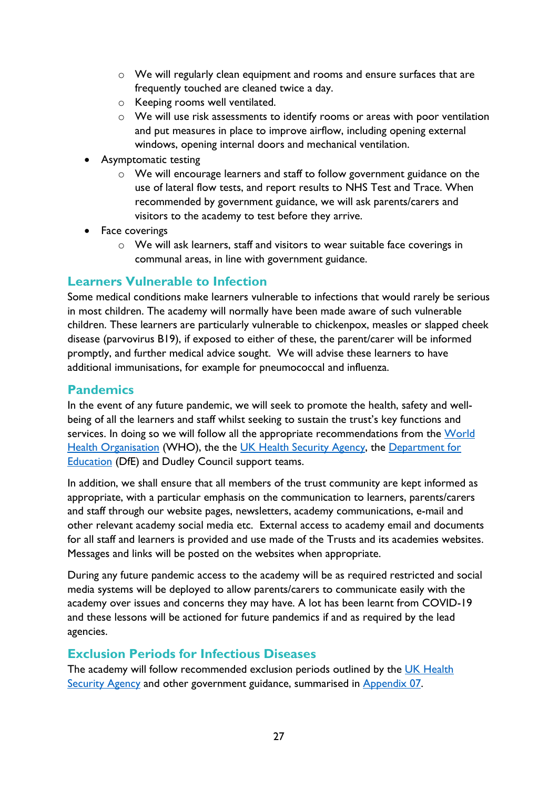- o We will regularly clean equipment and rooms and ensure surfaces that are frequently touched are cleaned twice a day.
- o Keeping rooms well ventilated.
- o We will use risk assessments to identify rooms or areas with poor ventilation and put measures in place to improve airflow, including opening external windows, opening internal doors and mechanical ventilation.
- Asymptomatic testing
	- $\circ$  We will encourage learners and staff to follow government guidance on the use of lateral flow tests, and report results to NHS Test and Trace. When recommended by government guidance, we will ask parents/carers and visitors to the academy to test before they arrive.
- Face coverings
	- o We will ask learners, staff and visitors to wear suitable face coverings in communal areas, in line with government guidance.

#### <span id="page-26-0"></span>**Learners Vulnerable to Infection**

Some medical conditions make learners vulnerable to infections that would rarely be serious in most children. The academy will normally have been made aware of such vulnerable children. These learners are particularly vulnerable to chickenpox, measles or slapped cheek disease (parvovirus B19), if exposed to either of these, the parent/carer will be informed promptly, and further medical advice sought. We will advise these learners to have additional immunisations, for example for pneumococcal and influenza.

#### <span id="page-26-1"></span>**Pandemics**

In the event of any future pandemic, we will seek to promote the health, safety and wellbeing of all the learners and staff whilst seeking to sustain the trust's key functions and services. In doing so we will follow all the appropriate recommendations from the World [Health Organisation](https://www.who.int/) (WHO), the the [UK Health Security Agency,](https://www.gov.uk/government/organisations/uk-health-security-agency) the [Department for](https://www.gov.uk/government/organisations/department-for-education)  [Education](https://www.gov.uk/government/organisations/department-for-education) (DfE) and Dudley Council support teams.

In addition, we shall ensure that all members of the trust community are kept informed as appropriate, with a particular emphasis on the communication to learners, parents/carers and staff through our website pages, newsletters, academy communications, e-mail and other relevant academy social media etc. External access to academy email and documents for all staff and learners is provided and use made of the Trusts and its academies websites. Messages and links will be posted on the websites when appropriate.

During any future pandemic access to the academy will be as required restricted and social media systems will be deployed to allow parents/carers to communicate easily with the academy over issues and concerns they may have. A lot has been learnt from COVID-19 and these lessons will be actioned for future pandemics if and as required by the lead agencies.

#### <span id="page-26-2"></span>**Exclusion Periods for Infectious Diseases**

The academy will follow recommended exclusion periods outlined by the UK Health [Security Agency](https://www.gov.uk/government/organisations/uk-health-security-agency) and other government guidance, summarised in [Appendix 07.](#page-47-1)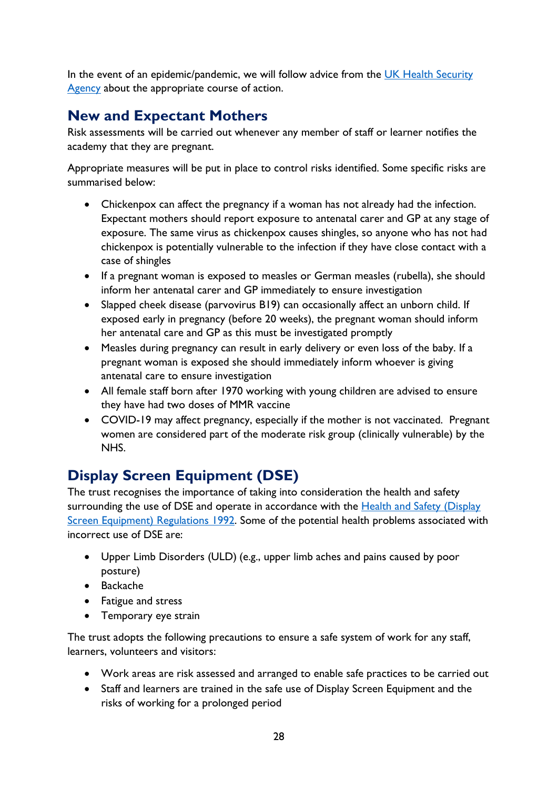In the event of an epidemic/pandemic, we will follow advice from the UK Health Security [Agency](https://www.gov.uk/government/organisations/uk-health-security-agency) about the appropriate course of action.

## <span id="page-27-0"></span>**New and Expectant Mothers**

Risk assessments will be carried out whenever any member of staff or learner notifies the academy that they are pregnant.

Appropriate measures will be put in place to control risks identified. Some specific risks are summarised below:

- Chickenpox can affect the pregnancy if a woman has not already had the infection. Expectant mothers should report exposure to antenatal carer and GP at any stage of exposure. The same virus as chickenpox causes shingles, so anyone who has not had chickenpox is potentially vulnerable to the infection if they have close contact with a case of shingles
- If a pregnant woman is exposed to measles or German measles (rubella), she should inform her antenatal carer and GP immediately to ensure investigation
- Slapped cheek disease (parvovirus B19) can occasionally affect an unborn child. If exposed early in pregnancy (before 20 weeks), the pregnant woman should inform her antenatal care and GP as this must be investigated promptly
- Measles during pregnancy can result in early delivery or even loss of the baby. If a pregnant woman is exposed she should immediately inform whoever is giving antenatal care to ensure investigation
- All female staff born after 1970 working with young children are advised to ensure they have had two doses of MMR vaccine
- COVID-19 may affect pregnancy, especially if the mother is not vaccinated. Pregnant women are considered part of the moderate risk group (clinically vulnerable) by the NHS.

# <span id="page-27-1"></span>**Display Screen Equipment (DSE)**

The trust recognises the importance of taking into consideration the health and safety surrounding the use of DSE and operate in accordance with the **Health and Safety (Display** [Screen Equipment\) Regulations 1992.](https://www.legislation.gov.uk/uksi/1992/2792/contents/made) Some of the potential health problems associated with incorrect use of DSE are:

- Upper Limb Disorders (ULD) (e.g., upper limb aches and pains caused by poor posture)
- Backache
- Fatigue and stress
- Temporary eye strain

The trust adopts the following precautions to ensure a safe system of work for any staff, learners, volunteers and visitors:

- Work areas are risk assessed and arranged to enable safe practices to be carried out
- Staff and learners are trained in the safe use of Display Screen Equipment and the risks of working for a prolonged period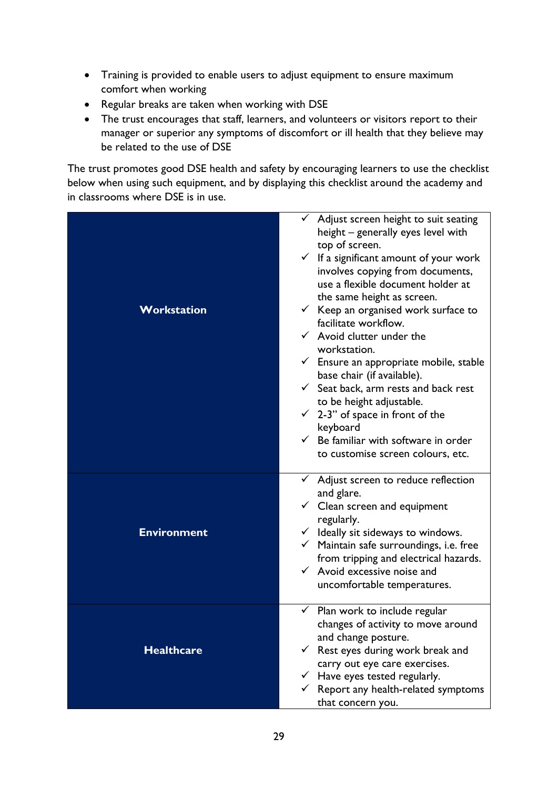- Training is provided to enable users to adjust equipment to ensure maximum comfort when working
- Regular breaks are taken when working with DSE
- The trust encourages that staff, learners, and volunteers or visitors report to their manager or superior any symptoms of discomfort or ill health that they believe may be related to the use of DSE

The trust promotes good DSE health and safety by encouraging learners to use the checklist below when using such equipment, and by displaying this checklist around the academy and in classrooms where DSE is in use.

|                    | $\checkmark$ Adjust screen height to suit seating<br>height - generally eyes level with<br>top of screen.<br>$\checkmark$ If a significant amount of your work<br>involves copying from documents,<br>use a flexible document holder at<br>the same height as screen. |
|--------------------|-----------------------------------------------------------------------------------------------------------------------------------------------------------------------------------------------------------------------------------------------------------------------|
| Workstation        | $\checkmark$ Keep an organised work surface to                                                                                                                                                                                                                        |
|                    | facilitate workflow.                                                                                                                                                                                                                                                  |
|                    | $\checkmark$ Avoid clutter under the<br>workstation.                                                                                                                                                                                                                  |
|                    | $\checkmark$ Ensure an appropriate mobile, stable                                                                                                                                                                                                                     |
|                    | base chair (if available).                                                                                                                                                                                                                                            |
|                    | $\checkmark$ Seat back, arm rests and back rest                                                                                                                                                                                                                       |
|                    | to be height adjustable.                                                                                                                                                                                                                                              |
|                    | $\checkmark$ 2-3" of space in front of the                                                                                                                                                                                                                            |
|                    | keyboard                                                                                                                                                                                                                                                              |
|                    | $\checkmark$ Be familiar with software in order                                                                                                                                                                                                                       |
|                    | to customise screen colours, etc.                                                                                                                                                                                                                                     |
|                    | $\checkmark$ Adjust screen to reduce reflection                                                                                                                                                                                                                       |
|                    | and glare.                                                                                                                                                                                                                                                            |
|                    | $\checkmark$ Clean screen and equipment                                                                                                                                                                                                                               |
|                    | regularly.                                                                                                                                                                                                                                                            |
| <b>Environment</b> | $\checkmark$ Ideally sit sideways to windows.                                                                                                                                                                                                                         |
|                    | $\checkmark$ Maintain safe surroundings, i.e. free                                                                                                                                                                                                                    |
|                    | from tripping and electrical hazards.<br>$\checkmark$ Avoid excessive noise and                                                                                                                                                                                       |
|                    | uncomfortable temperatures.                                                                                                                                                                                                                                           |
|                    |                                                                                                                                                                                                                                                                       |
|                    | Plan work to include regular<br>$\checkmark$                                                                                                                                                                                                                          |
|                    | changes of activity to move around                                                                                                                                                                                                                                    |
|                    | and change posture.                                                                                                                                                                                                                                                   |
| <b>Healthcare</b>  | $\checkmark$ Rest eyes during work break and                                                                                                                                                                                                                          |
|                    | carry out eye care exercises.<br>$\checkmark$ Have eyes tested regularly.                                                                                                                                                                                             |
|                    | $\checkmark$ Report any health-related symptoms                                                                                                                                                                                                                       |
|                    | that concern you.                                                                                                                                                                                                                                                     |
|                    |                                                                                                                                                                                                                                                                       |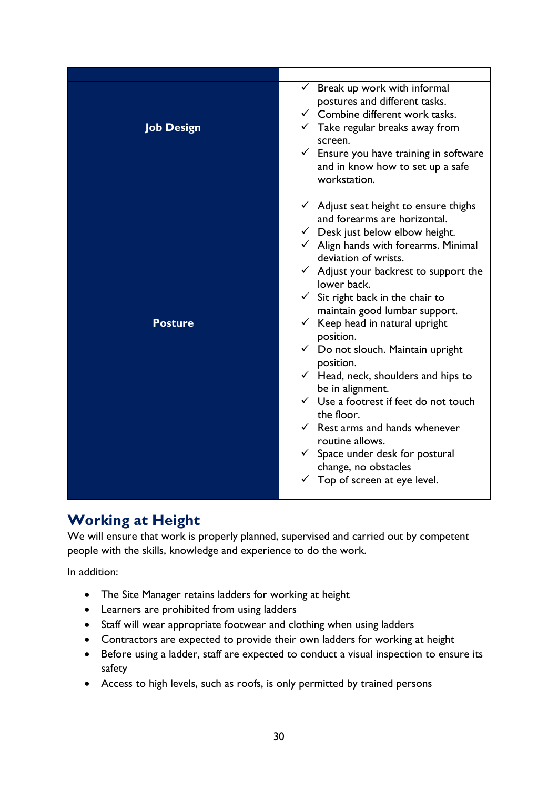| <b>Job Design</b> | $\checkmark$ Break up work with informal<br>postures and different tasks.<br>$\checkmark$ Combine different work tasks.<br>$\checkmark$ Take regular breaks away from<br>screen.<br>$\checkmark$ Ensure you have training in software<br>and in know how to set up a safe<br>workstation.                                                                                                                                                                                                                                                                                                                                                                                                                                                                                                |
|-------------------|------------------------------------------------------------------------------------------------------------------------------------------------------------------------------------------------------------------------------------------------------------------------------------------------------------------------------------------------------------------------------------------------------------------------------------------------------------------------------------------------------------------------------------------------------------------------------------------------------------------------------------------------------------------------------------------------------------------------------------------------------------------------------------------|
| <b>Posture</b>    | $\checkmark$ Adjust seat height to ensure thighs<br>and forearms are horizontal.<br>$\checkmark$ Desk just below elbow height.<br>$\checkmark$ Align hands with forearms. Minimal<br>deviation of wrists.<br>$\checkmark$ Adjust your backrest to support the<br>lower back.<br>Sit right back in the chair to<br>✓<br>maintain good lumbar support.<br>$\checkmark$ Keep head in natural upright<br>position.<br>$\checkmark$ Do not slouch. Maintain upright<br>position.<br>$\checkmark$ Head, neck, shoulders and hips to<br>be in alignment.<br>$\checkmark$ Use a footrest if feet do not touch<br>the floor.<br>$\checkmark$ Rest arms and hands whenever<br>routine allows.<br>$\checkmark$ Space under desk for postural<br>change, no obstacles<br>Top of screen at eye level. |

## <span id="page-29-0"></span>**Working at Height**

We will ensure that work is properly planned, supervised and carried out by competent people with the skills, knowledge and experience to do the work.

In addition:

- The Site Manager retains ladders for working at height
- Learners are prohibited from using ladders
- Staff will wear appropriate footwear and clothing when using ladders
- Contractors are expected to provide their own ladders for working at height
- Before using a ladder, staff are expected to conduct a visual inspection to ensure its safety
- Access to high levels, such as roofs, is only permitted by trained persons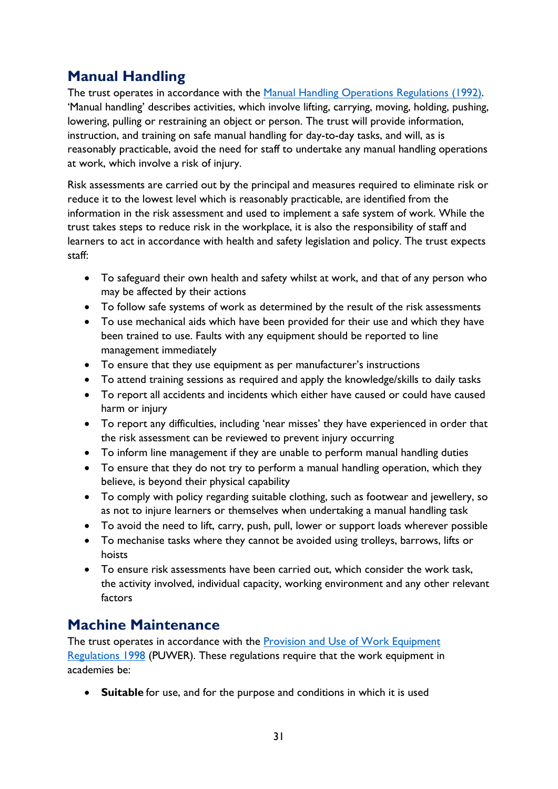## <span id="page-30-0"></span>**Manual Handling**

The trust operates in accordance with the [Manual Handling Operations Regulations \(1992\).](https://www.legislation.gov.uk/uksi/1992/2793/contents/made) 'Manual handling' describes activities, which involve lifting, carrying, moving, holding, pushing, lowering, pulling or restraining an object or person. The trust will provide information, instruction, and training on safe manual handling for day-to-day tasks, and will, as is reasonably practicable, avoid the need for staff to undertake any manual handling operations at work, which involve a risk of injury.

Risk assessments are carried out by the principal and measures required to eliminate risk or reduce it to the lowest level which is reasonably practicable, are identified from the information in the risk assessment and used to implement a safe system of work. While the trust takes steps to reduce risk in the workplace, it is also the responsibility of staff and learners to act in accordance with health and safety legislation and policy. The trust expects staff:

- To safeguard their own health and safety whilst at work, and that of any person who may be affected by their actions
- To follow safe systems of work as determined by the result of the risk assessments
- To use mechanical aids which have been provided for their use and which they have been trained to use. Faults with any equipment should be reported to line management immediately
- To ensure that they use equipment as per manufacturer's instructions
- To attend training sessions as required and apply the knowledge/skills to daily tasks
- To report all accidents and incidents which either have caused or could have caused harm or injury
- To report any difficulties, including 'near misses' they have experienced in order that the risk assessment can be reviewed to prevent injury occurring
- To inform line management if they are unable to perform manual handling duties
- To ensure that they do not try to perform a manual handling operation, which they believe, is beyond their physical capability
- To comply with policy regarding suitable clothing, such as footwear and jewellery, so as not to injure learners or themselves when undertaking a manual handling task
- To avoid the need to lift, carry, push, pull, lower or support loads wherever possible
- To mechanise tasks where they cannot be avoided using trolleys, barrows, lifts or hoists
- To ensure risk assessments have been carried out, which consider the work task, the activity involved, individual capacity, working environment and any other relevant factors

## <span id="page-30-1"></span>**Machine Maintenance**

The trust operates in accordance with the Provision and Use of Work Equipment [Regulations 1998](https://www.legislation.gov.uk/uksi/1998/2306/contents/made) (PUWER). These regulations require that the work equipment in academies be:

• **Suitable** for use, and for the purpose and conditions in which it is used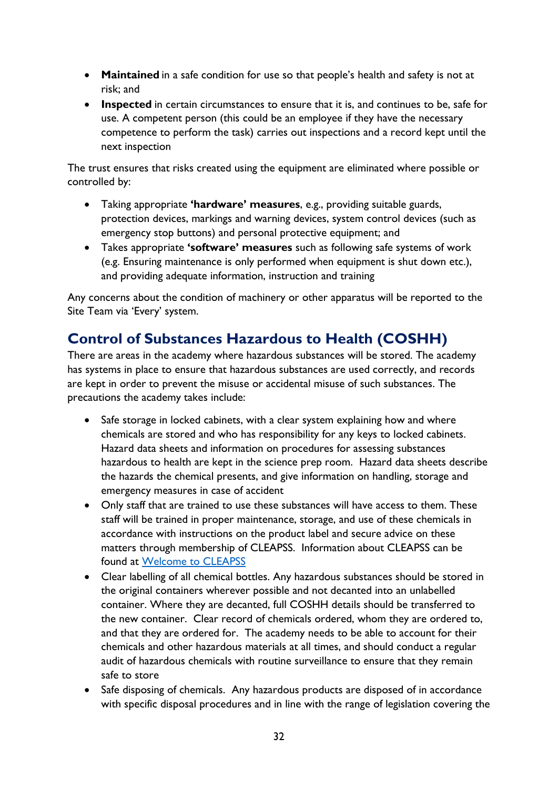- **Maintained** in a safe condition for use so that people's health and safety is not at risk; and
- **Inspected** in certain circumstances to ensure that it is, and continues to be, safe for use. A competent person (this could be an employee if they have the necessary competence to perform the task) carries out inspections and a record kept until the next inspection

The trust ensures that risks created using the equipment are eliminated where possible or controlled by:

- Taking appropriate **'hardware' measures**, e.g., providing suitable guards, protection devices, markings and warning devices, system control devices (such as emergency stop buttons) and personal protective equipment; and
- Takes appropriate **'software' measures** such as following safe systems of work (e.g. Ensuring maintenance is only performed when equipment is shut down etc.), and providing adequate information, instruction and training

Any concerns about the condition of machinery or other apparatus will be reported to the Site Team via 'Every' system.

## <span id="page-31-0"></span>**Control of Substances Hazardous to Health (COSHH)**

There are areas in the academy where hazardous substances will be stored. The academy has systems in place to ensure that hazardous substances are used correctly, and records are kept in order to prevent the misuse or accidental misuse of such substances. The precautions the academy takes include:

- Safe storage in locked cabinets, with a clear system explaining how and where chemicals are stored and who has responsibility for any keys to locked cabinets. Hazard data sheets and information on procedures for assessing substances hazardous to health are kept in the science prep room. Hazard data sheets describe the hazards the chemical presents, and give information on handling, storage and emergency measures in case of accident
- Only staff that are trained to use these substances will have access to them. These staff will be trained in proper maintenance, storage, and use of these chemicals in accordance with instructions on the product label and secure advice on these matters through membership of CLEAPSS. Information about CLEAPSS can be found at [Welcome to CLEAPSS](https://www.cleapss.org.uk/)
- Clear labelling of all chemical bottles. Any hazardous substances should be stored in the original containers wherever possible and not decanted into an unlabelled container. Where they are decanted, full COSHH details should be transferred to the new container. Clear record of chemicals ordered, whom they are ordered to, and that they are ordered for. The academy needs to be able to account for their chemicals and other hazardous materials at all times, and should conduct a regular audit of hazardous chemicals with routine surveillance to ensure that they remain safe to store
- Safe disposing of chemicals. Any hazardous products are disposed of in accordance with specific disposal procedures and in line with the range of legislation covering the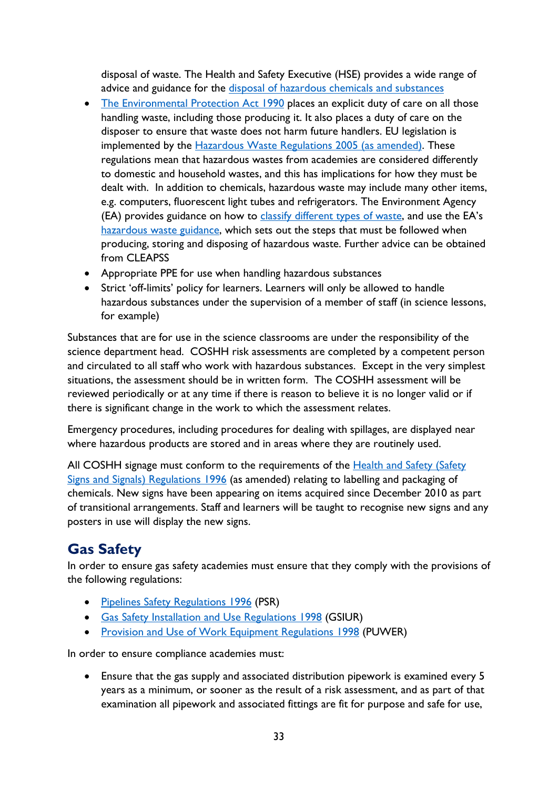disposal of waste. The Health and Safety Executive (HSE) provides a wide range of advice and guidance for the [disposal of hazardous chemicals and substances](https://www.hse.gov.uk/chemicals/dispose.htm)

- [The Environmental Protection Act 1990](http://www.legislation.gov.uk/ukpga/1990/43/contents) places an explicit duty of care on all those handling waste, including those producing it. It also places a duty of care on the disposer to ensure that waste does not harm future handlers. EU legislation is implemented by the [Hazardous Waste Regulations 2005 \(as amended\).](http://www.legislation.gov.uk/uksi/2005/894/contents/made) These regulations mean that hazardous wastes from academies are considered differently to domestic and household wastes, and this has implications for how they must be dealt with. In addition to chemicals, hazardous waste may include many other items, e.g. computers, fluorescent light tubes and refrigerators. The Environment Agency (EA) provides guidance on how to [classify different types of waste,](https://www.gov.uk/how-to-classify-different-types-of-waste) and use the EA's [hazardous waste guidance,](https://www.gov.uk/dispose-hazardous-waste) which sets out the steps that must be followed when producing, storing and disposing of hazardous waste. Further advice can be obtained from CLEAPSS
- Appropriate PPE for use when handling hazardous substances
- Strict 'off-limits' policy for learners. Learners will only be allowed to handle hazardous substances under the supervision of a member of staff (in science lessons, for example)

Substances that are for use in the science classrooms are under the responsibility of the science department head. COSHH risk assessments are completed by a competent person and circulated to all staff who work with hazardous substances. Except in the very simplest situations, the assessment should be in written form. The COSHH assessment will be reviewed periodically or at any time if there is reason to believe it is no longer valid or if there is significant change in the work to which the assessment relates.

Emergency procedures, including procedures for dealing with spillages, are displayed near where hazardous products are stored and in areas where they are routinely used.

All COSHH signage must conform to the requirements of the [Health and Safety \(Safety](https://www.legislation.gov.uk/uksi/1996/341/contents/made)  [Signs and Signals\) Regulations 1996](https://www.legislation.gov.uk/uksi/1996/341/contents/made) (as amended) relating to labelling and packaging of chemicals. New signs have been appearing on items acquired since December 2010 as part of transitional arrangements. Staff and learners will be taught to recognise new signs and any posters in use will display the new signs.

# <span id="page-32-0"></span>**Gas Safety**

In order to ensure gas safety academies must ensure that they comply with the provisions of the following regulations:

- [Pipelines Safety Regulations 1996](https://www.legislation.gov.uk/uksi/1996/825/contents/made) (PSR)
- [Gas Safety Installation and Use Regulations 1998](https://www.legislation.gov.uk/uksi/1998/2451/contents/made) (GSIUR)
- [Provision and Use of Work Equipment Regulations 1998](https://www.hse.gov.uk/work-equipment-machinery/puwer.htm) (PUWER)

In order to ensure compliance academies must:

• Ensure that the gas supply and associated distribution pipework is examined every 5 years as a minimum, or sooner as the result of a risk assessment, and as part of that examination all pipework and associated fittings are fit for purpose and safe for use,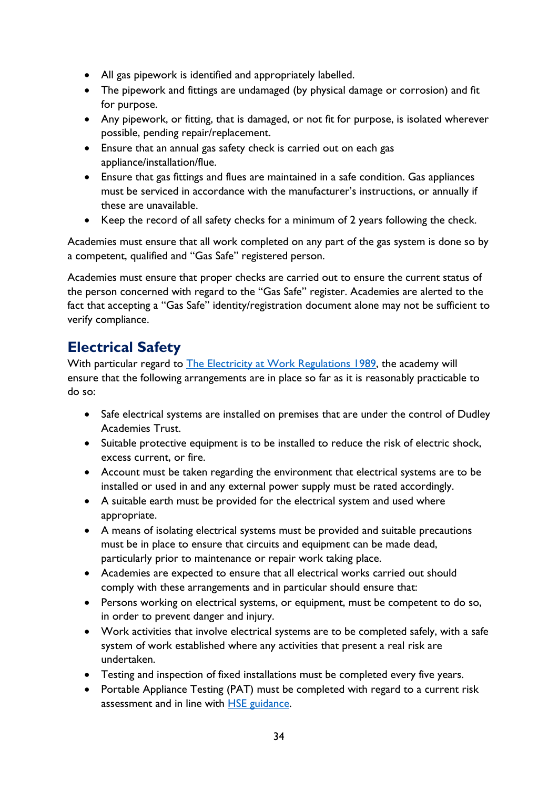- All gas pipework is identified and appropriately labelled.
- The pipework and fittings are undamaged (by physical damage or corrosion) and fit for purpose.
- Any pipework, or fitting, that is damaged, or not fit for purpose, is isolated wherever possible, pending repair/replacement.
- Ensure that an annual gas safety check is carried out on each gas appliance/installation/flue.
- Ensure that gas fittings and flues are maintained in a safe condition. Gas appliances must be serviced in accordance with the manufacturer's instructions, or annually if these are unavailable.
- Keep the record of all safety checks for a minimum of 2 years following the check.

Academies must ensure that all work completed on any part of the gas system is done so by a competent, qualified and "Gas Safe" registered person.

Academies must ensure that proper checks are carried out to ensure the current status of the person concerned with regard to the "Gas Safe" register. Academies are alerted to the fact that accepting a "Gas Safe" identity/registration document alone may not be sufficient to verify compliance.

## <span id="page-33-0"></span>**Electrical Safety**

With particular regard to [The Electricity at Work Regulations 1989,](https://www.hse.gov.uk/pubns/priced/hsr25.pdf) the academy will ensure that the following arrangements are in place so far as it is reasonably practicable to do so:

- Safe electrical systems are installed on premises that are under the control of Dudley Academies Trust.
- Suitable protective equipment is to be installed to reduce the risk of electric shock, excess current, or fire.
- Account must be taken regarding the environment that electrical systems are to be installed or used in and any external power supply must be rated accordingly.
- A suitable earth must be provided for the electrical system and used where appropriate.
- A means of isolating electrical systems must be provided and suitable precautions must be in place to ensure that circuits and equipment can be made dead, particularly prior to maintenance or repair work taking place.
- Academies are expected to ensure that all electrical works carried out should comply with these arrangements and in particular should ensure that:
- Persons working on electrical systems, or equipment, must be competent to do so, in order to prevent danger and injury.
- Work activities that involve electrical systems are to be completed safely, with a safe system of work established where any activities that present a real risk are undertaken.
- Testing and inspection of fixed installations must be completed every five years.
- Portable Appliance Testing (PAT) must be completed with regard to a current risk assessment and in line with [HSE guidance.](https://www.hse.gov.uk/pubns/books/hsg107.htm)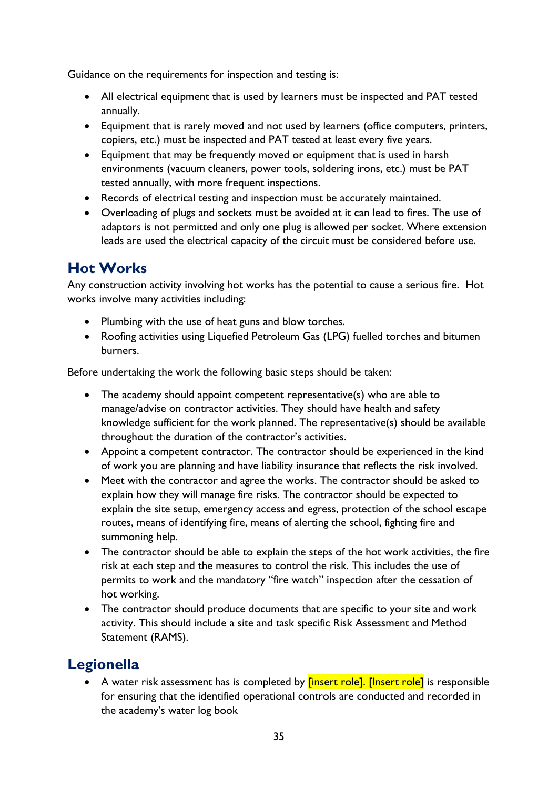Guidance on the requirements for inspection and testing is:

- All electrical equipment that is used by learners must be inspected and PAT tested annually.
- Equipment that is rarely moved and not used by learners (office computers, printers, copiers, etc.) must be inspected and PAT tested at least every five years.
- Equipment that may be frequently moved or equipment that is used in harsh environments (vacuum cleaners, power tools, soldering irons, etc.) must be PAT tested annually, with more frequent inspections.
- Records of electrical testing and inspection must be accurately maintained.
- Overloading of plugs and sockets must be avoided at it can lead to fires. The use of adaptors is not permitted and only one plug is allowed per socket. Where extension leads are used the electrical capacity of the circuit must be considered before use.

# <span id="page-34-0"></span>**Hot Works**

Any construction activity involving hot works has the potential to cause a serious fire. Hot works involve many activities including:

- Plumbing with the use of heat guns and blow torches.
- Roofing activities using Liquefied Petroleum Gas (LPG) fuelled torches and bitumen burners.

Before undertaking the work the following basic steps should be taken:

- The academy should appoint competent representative(s) who are able to manage/advise on contractor activities. They should have health and safety knowledge sufficient for the work planned. The representative(s) should be available throughout the duration of the contractor's activities.
- Appoint a competent contractor. The contractor should be experienced in the kind of work you are planning and have liability insurance that reflects the risk involved.
- Meet with the contractor and agree the works. The contractor should be asked to explain how they will manage fire risks. The contractor should be expected to explain the site setup, emergency access and egress, protection of the school escape routes, means of identifying fire, means of alerting the school, fighting fire and summoning help.
- The contractor should be able to explain the steps of the hot work activities, the fire risk at each step and the measures to control the risk. This includes the use of permits to work and the mandatory "fire watch" inspection after the cessation of hot working.
- The contractor should produce documents that are specific to your site and work activity. This should include a site and task specific Risk Assessment and Method Statement (RAMS).

# <span id="page-34-1"></span>**Legionella**

A water risk assessment has is completed by **[insert role]. [Insert role]** is responsible for ensuring that the identified operational controls are conducted and recorded in the academy's water log book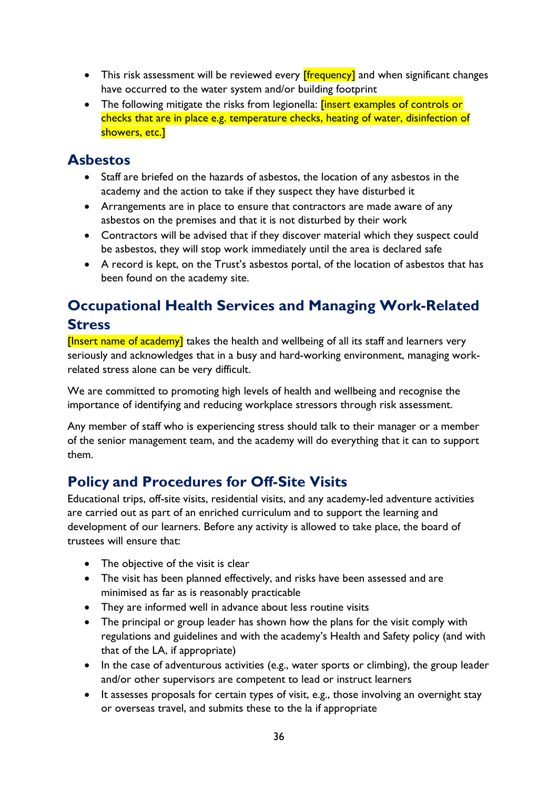- This risk assessment will be reviewed every **[frequency]** and when significant changes have occurred to the water system and/or building footprint
- The following mitigate the risks from legionella: **[insert examples of controls or** checks that are in place e.g. temperature checks, heating of water, disinfection of showers, etc.]

## <span id="page-35-0"></span>**Asbestos**

- Staff are briefed on the hazards of asbestos, the location of any asbestos in the academy and the action to take if they suspect they have disturbed it
- Arrangements are in place to ensure that contractors are made aware of any asbestos on the premises and that it is not disturbed by their work
- Contractors will be advised that if they discover material which they suspect could be asbestos, they will stop work immediately until the area is declared safe
- A record is kept, on the Trust's asbestos portal, of the location of asbestos that has been found on the academy site.

## <span id="page-35-1"></span>**Occupational Health Services and Managing Work-Related Stress**

[Insert name of academy] takes the health and wellbeing of all its staff and learners very seriously and acknowledges that in a busy and hard-working environment, managing workrelated stress alone can be very difficult.

We are committed to promoting high levels of health and wellbeing and recognise the importance of identifying and reducing workplace stressors through risk assessment.

Any member of staff who is experiencing stress should talk to their manager or a member of the senior management team, and the academy will do everything that it can to support them.

## <span id="page-35-2"></span>**Policy and Procedures for Off-Site Visits**

Educational trips, off-site visits, residential visits, and any academy-led adventure activities are carried out as part of an enriched curriculum and to support the learning and development of our learners. Before any activity is allowed to take place, the board of trustees will ensure that:

- The objective of the visit is clear
- The visit has been planned effectively, and risks have been assessed and are minimised as far as is reasonably practicable
- They are informed well in advance about less routine visits
- The principal or group leader has shown how the plans for the visit comply with regulations and guidelines and with the academy's Health and Safety policy (and with that of the LA, if appropriate)
- In the case of adventurous activities (e.g., water sports or climbing), the group leader and/or other supervisors are competent to lead or instruct learners
- It assesses proposals for certain types of visit, e.g., those involving an overnight stay or overseas travel, and submits these to the la if appropriate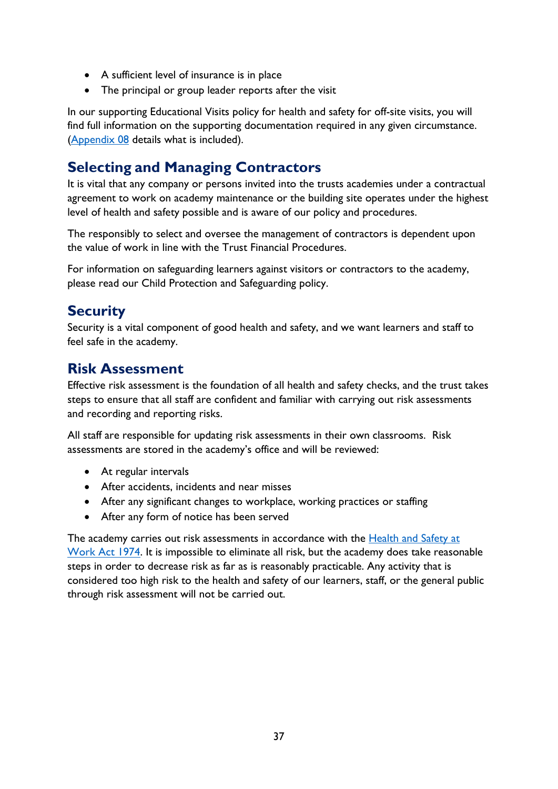- A sufficient level of insurance is in place
- The principal or group leader reports after the visit

In our supporting Educational Visits policy for health and safety for off-site visits, you will find full information on the supporting documentation required in any given circumstance. [\(Appendix 08](#page-51-0) details what is included).

## <span id="page-36-0"></span>**Selecting and Managing Contractors**

It is vital that any company or persons invited into the trusts academies under a contractual agreement to work on academy maintenance or the building site operates under the highest level of health and safety possible and is aware of our policy and procedures.

The responsibly to select and oversee the management of contractors is dependent upon the value of work in line with the Trust Financial Procedures.

For information on safeguarding learners against visitors or contractors to the academy, please read our Child Protection and Safeguarding policy.

## <span id="page-36-1"></span>**Security**

Security is a vital component of good health and safety, and we want learners and staff to feel safe in the academy.

## <span id="page-36-2"></span>**Risk Assessment**

Effective risk assessment is the foundation of all health and safety checks, and the trust takes steps to ensure that all staff are confident and familiar with carrying out risk assessments and recording and reporting risks.

All staff are responsible for updating risk assessments in their own classrooms. Risk assessments are stored in the academy's office and will be reviewed:

- At regular intervals
- After accidents, incidents and near misses
- After any significant changes to workplace, working practices or staffing
- After any form of notice has been served

The academy carries out risk assessments in accordance with the [Health and Safety at](https://www.legislation.gov.uk/ukpga/1974/37/contents)  [Work Act 1974.](https://www.legislation.gov.uk/ukpga/1974/37/contents) It is impossible to eliminate all risk, but the academy does take reasonable steps in order to decrease risk as far as is reasonably practicable. Any activity that is considered too high risk to the health and safety of our learners, staff, or the general public through risk assessment will not be carried out.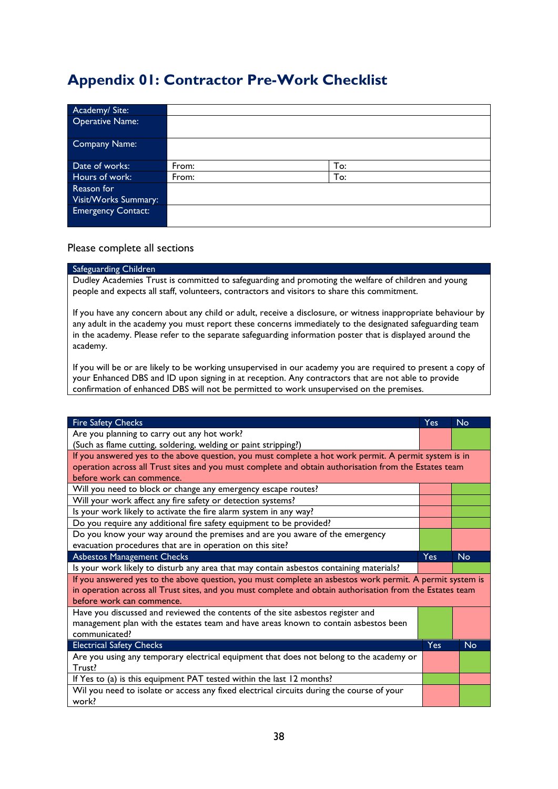## <span id="page-37-0"></span>**Appendix 01: Contractor Pre-Work Checklist**

| Academy/Site:             |       |     |
|---------------------------|-------|-----|
| <b>Operative Name:</b>    |       |     |
| Company Name:             |       |     |
| Date of works:            | From: | To: |
| Hours of work:            | From: | To: |
| Reason for                |       |     |
| Visit/Works Summary:      |       |     |
| <b>Emergency Contact:</b> |       |     |
|                           |       |     |

#### Please complete all sections

#### Safeguarding Children

Dudley Academies Trust is committed to safeguarding and promoting the welfare of children and young people and expects all staff, volunteers, contractors and visitors to share this commitment.

If you have any concern about any child or adult, receive a disclosure, or witness inappropriate behaviour by any adult in the academy you must report these concerns immediately to the designated safeguarding team in the academy. Please refer to the separate safeguarding information poster that is displayed around the academy.

If you will be or are likely to be working unsupervised in our academy you are required to present a copy of your Enhanced DBS and ID upon signing in at reception. Any contractors that are not able to provide confirmation of enhanced DBS will not be permitted to work unsupervised on the premises.

| <b>Fire Safety Checks</b>                                                                                 | <b>Yes</b> | <b>No</b> |  |
|-----------------------------------------------------------------------------------------------------------|------------|-----------|--|
| Are you planning to carry out any hot work?                                                               |            |           |  |
| (Such as flame cutting, soldering, welding or paint stripping?)                                           |            |           |  |
| If you answered yes to the above question, you must complete a hot work permit. A permit system is in     |            |           |  |
| operation across all Trust sites and you must complete and obtain authorisation from the Estates team     |            |           |  |
| before work can commence.                                                                                 |            |           |  |
| Will you need to block or change any emergency escape routes?                                             |            |           |  |
| Will your work affect any fire safety or detection systems?                                               |            |           |  |
| Is your work likely to activate the fire alarm system in any way?                                         |            |           |  |
| Do you require any additional fire safety equipment to be provided?                                       |            |           |  |
| Do you know your way around the premises and are you aware of the emergency                               |            |           |  |
| evacuation procedures that are in operation on this site?                                                 |            |           |  |
| <b>Asbestos Management Checks</b>                                                                         | Yes        | <b>No</b> |  |
| Is your work likely to disturb any area that may contain asbestos containing materials?                   |            |           |  |
| If you answered yes to the above question, you must complete an asbestos work permit. A permit system is  |            |           |  |
| in operation across all Trust sites, and you must complete and obtain authorisation from the Estates team |            |           |  |
| before work can commence.                                                                                 |            |           |  |
| Have you discussed and reviewed the contents of the site asbestos register and                            |            |           |  |
| management plan with the estates team and have areas known to contain asbestos been                       |            |           |  |
| communicated?<br><b>Yes</b><br><b>No</b>                                                                  |            |           |  |
| <b>Electrical Safety Checks</b>                                                                           |            |           |  |
| Are you using any temporary electrical equipment that does not belong to the academy or                   |            |           |  |
| Trust?                                                                                                    |            |           |  |
| If Yes to (a) is this equipment PAT tested within the last 12 months?                                     |            |           |  |
| Wil you need to isolate or access any fixed electrical circuits during the course of your                 |            |           |  |
| work?                                                                                                     |            |           |  |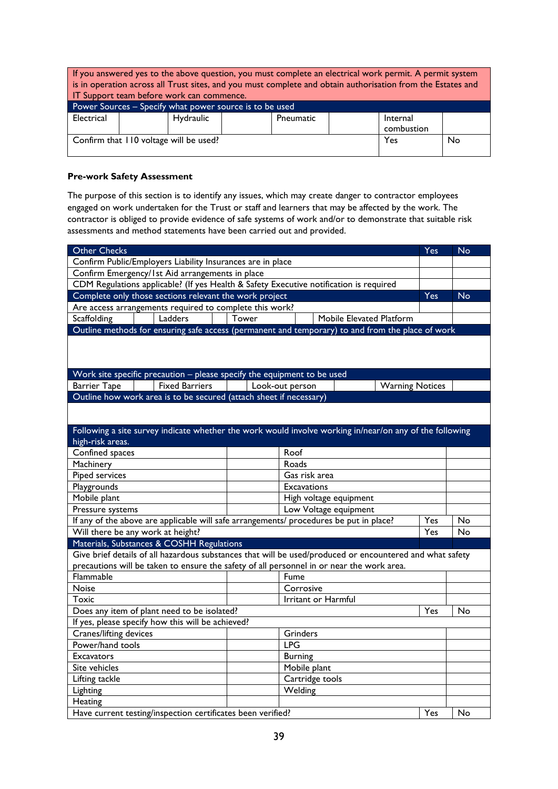| If you answered yes to the above question, you must complete an electrical work permit. A permit system |                                    |                                           |  |  |  |                                                                                                             |  |
|---------------------------------------------------------------------------------------------------------|------------------------------------|-------------------------------------------|--|--|--|-------------------------------------------------------------------------------------------------------------|--|
|                                                                                                         |                                    |                                           |  |  |  | is in operation across all Trust sites, and you must complete and obtain authorisation from the Estates and |  |
|                                                                                                         |                                    | IT Support team before work can commence. |  |  |  |                                                                                                             |  |
| Power Sources - Specify what power source is to be used                                                 |                                    |                                           |  |  |  |                                                                                                             |  |
| Electrical                                                                                              | Hydraulic<br>Pneumatic<br>Internal |                                           |  |  |  |                                                                                                             |  |
| combustion                                                                                              |                                    |                                           |  |  |  |                                                                                                             |  |
| Confirm that 110 voltage will be used?<br>No<br>Yes                                                     |                                    |                                           |  |  |  |                                                                                                             |  |
|                                                                                                         |                                    |                                           |  |  |  |                                                                                                             |  |

#### **Pre-work Safety Assessment**

The purpose of this section is to identify any issues, which may create danger to contractor employees engaged on work undertaken for the Trust or staff and learners that may be affected by the work. The contractor is obliged to provide evidence of safe systems of work and/or to demonstrate that suitable risk assessments and method statements have been carried out and provided.

| Other Checks                                                                                             |       |                          |                        | Yes | <b>No</b> |
|----------------------------------------------------------------------------------------------------------|-------|--------------------------|------------------------|-----|-----------|
| Confirm Public/Employers Liability Insurances are in place                                               |       |                          |                        |     |           |
| Confirm Emergency/1st Aid arrangements in place                                                          |       |                          |                        |     |           |
| CDM Regulations applicable? (If yes Health & Safety Executive notification is required                   |       |                          |                        |     |           |
| Complete only those sections relevant the work project                                                   |       |                          |                        | Yes | <b>No</b> |
| Are access arrangements required to complete this work?                                                  |       |                          |                        |     |           |
| Ladders<br>Scaffolding                                                                                   | Tower | Mobile Elevated Platform |                        |     |           |
| Outline methods for ensuring safe access (permanent and temporary) to and from the place of work         |       |                          |                        |     |           |
|                                                                                                          |       |                          |                        |     |           |
|                                                                                                          |       |                          |                        |     |           |
|                                                                                                          |       |                          |                        |     |           |
| Work site specific precaution - please specify the equipment to be used                                  |       |                          |                        |     |           |
| <b>Barrier Tape</b><br><b>Fixed Barriers</b>                                                             |       | Look-out person          | <b>Warning Notices</b> |     |           |
| Outline how work area is to be secured (attach sheet if necessary)                                       |       |                          |                        |     |           |
|                                                                                                          |       |                          |                        |     |           |
|                                                                                                          |       |                          |                        |     |           |
| Following a site survey indicate whether the work would involve working in/near/on any of the following  |       |                          |                        |     |           |
| high-risk areas.                                                                                         |       |                          |                        |     |           |
| Confined spaces                                                                                          |       | Roof                     |                        |     |           |
| Roads<br>Machinery                                                                                       |       |                          |                        |     |           |
| Piped services                                                                                           |       | Gas risk area            |                        |     |           |
| Playgrounds<br><b>Excavations</b>                                                                        |       |                          |                        |     |           |
| Mobile plant<br>High voltage equipment                                                                   |       |                          |                        |     |           |
| Pressure systems                                                                                         |       | Low Voltage equipment    |                        |     |           |
| If any of the above are applicable will safe arrangements/ procedures be put in place?<br>Yes            |       |                          | No                     |     |           |
| Will there be any work at height?<br>Yes                                                                 |       |                          |                        | No  |           |
| Materials, Substances & COSHH Regulations                                                                |       |                          |                        |     |           |
| Give brief details of all hazardous substances that will be used/produced or encountered and what safety |       |                          |                        |     |           |
| precautions will be taken to ensure the safety of all personnel in or near the work area.                |       |                          |                        |     |           |
| Flammable                                                                                                |       | Fume                     |                        |     |           |
| Noise                                                                                                    |       | Corrosive                |                        |     |           |
| Toxic                                                                                                    |       | Irritant or Harmful      |                        |     |           |
| Does any item of plant need to be isolated?                                                              |       |                          |                        | Yes | No        |
| If yes, please specify how this will be achieved?                                                        |       |                          |                        |     |           |
| Cranes/lifting devices                                                                                   |       | Grinders                 |                        |     |           |
| Power/hand tools                                                                                         |       | <b>LPG</b>               |                        |     |           |
| <b>Excavators</b>                                                                                        |       | <b>Burning</b>           |                        |     |           |
| Site vehicles                                                                                            |       | Mobile plant             |                        |     |           |
| Lifting tackle                                                                                           |       | Cartridge tools          |                        |     |           |
| Lighting                                                                                                 |       | Welding                  |                        |     |           |
| Heating                                                                                                  |       |                          |                        |     |           |
| Have current testing/inspection certificates been verified?                                              |       |                          |                        | Yes | No        |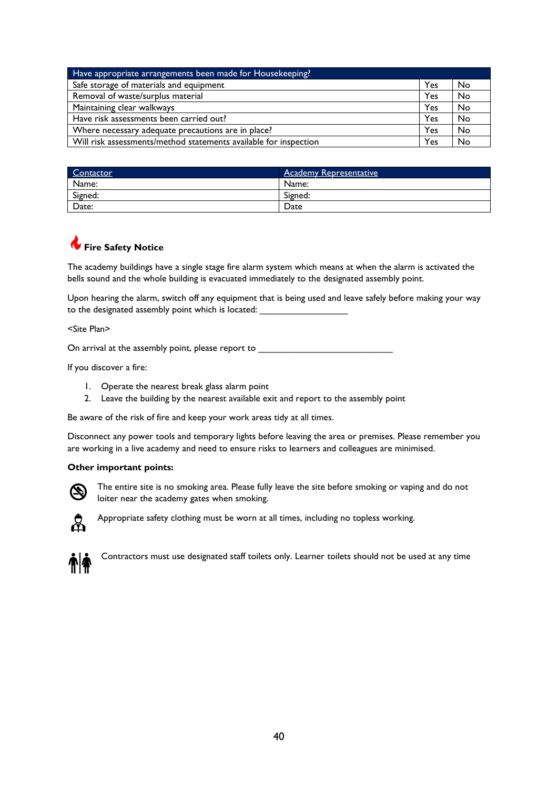| Have appropriate arrangements been made for Housekeeping?               |     |    |
|-------------------------------------------------------------------------|-----|----|
| Safe storage of materials and equipment                                 |     | No |
| Removal of waste/surplus material<br>Yes                                |     | No |
| Maintaining clear walkways                                              | Yes | No |
| Have risk assessments been carried out?                                 | Yes | No |
| Where necessary adequate precautions are in place?                      | Yes | No |
| Will risk assessments/method statements available for inspection<br>Yes |     | No |

| Contactor | <b>Academy Representative</b> |
|-----------|-------------------------------|
| Name:     | Name:                         |
| Signed:   | Signed:                       |
| Date:     | Date                          |

## **Fire Safety Notice**

The academy buildings have a single stage fire alarm system which means at when the alarm is activated the bells sound and the whole building is evacuated immediately to the designated assembly point.

Upon hearing the alarm, switch off any equipment that is being used and leave safely before making your way to the designated assembly point which is located:

<Site Plan>

On arrival at the assembly point, please report to \_\_\_\_\_\_\_\_\_\_\_\_\_\_\_\_\_\_\_\_\_\_\_\_\_\_\_\_\_

If you discover a fire:

- 1. Operate the nearest break glass alarm point
- 2. Leave the building by the nearest available exit and report to the assembly point

Be aware of the risk of fire and keep your work areas tidy at all times.

Disconnect any power tools and temporary lights before leaving the area or premises. Please remember you are working in a live academy and need to ensure risks to learners and colleagues are minimised.

#### **Other important points:**



The entire site is no smoking area. Please fully leave the site before smoking or vaping and do not loiter near the academy gates when smoking.



Appropriate safety clothing must be worn at all times, including no topless working.



Contractors must use designated staff toilets only. Learner toilets should not be used at any time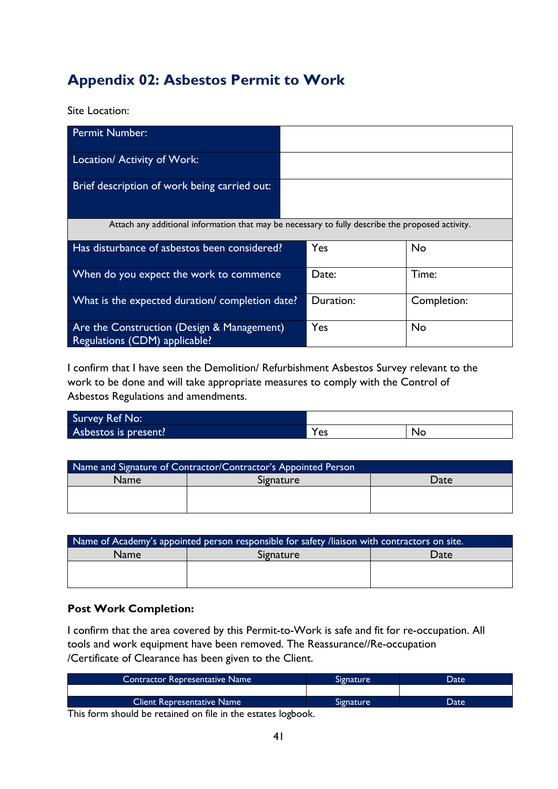# <span id="page-40-0"></span>**Appendix 02: Asbestos Permit to Work**

Site Location:

| <b>Permit Number:</b>                                                                            |           |             |
|--------------------------------------------------------------------------------------------------|-----------|-------------|
| Location/ Activity of Work:                                                                      |           |             |
| Brief description of work being carried out:                                                     |           |             |
| Attach any additional information that may be necessary to fully describe the proposed activity. |           |             |
| Has disturbance of asbestos been considered?                                                     | Yes       | <b>No</b>   |
| When do you expect the work to commence                                                          | Date:     | Time:       |
| What is the expected duration/ completion date?                                                  | Duration: | Completion: |
| Are the Construction (Design & Management)<br>Regulations (CDM) applicable?                      | Yes       | <b>No</b>   |

I confirm that I have seen the Demolition/ Refurbishment Asbestos Survey relevant to the work to be done and will take appropriate measures to comply with the Control of Asbestos Regulations and amendments.

| Survey Ref No:       |     |    |
|----------------------|-----|----|
| Asbestos is present? | 'es | No |

| Name and Signature of Contractor/Contractor's Appointed Person |           |      |  |  |  |
|----------------------------------------------------------------|-----------|------|--|--|--|
| <b>Name</b>                                                    | Signature | Date |  |  |  |
|                                                                |           |      |  |  |  |
|                                                                |           |      |  |  |  |

| Name of Academy's appointed person responsible for safety /liaison with contractors on site. |  |  |  |  |  |
|----------------------------------------------------------------------------------------------|--|--|--|--|--|
| Signature<br><b>Name</b><br>Date                                                             |  |  |  |  |  |
|                                                                                              |  |  |  |  |  |
|                                                                                              |  |  |  |  |  |

#### **Post Work Completion:**

I confirm that the area covered by this Permit-to-Work is safe and fit for re-occupation. All tools and work equipment have been removed. The Reassurance//Re-occupation /Certificate of Clearance has been given to the Client.

| <b>Contractor Representative Name</b>                              | Signature | Date |
|--------------------------------------------------------------------|-----------|------|
|                                                                    |           |      |
| <b>Client Representative Name</b>                                  | Signature | Date |
| This forms through the measured on file to also concerned with the |           |      |

This form should be retained on file in the estates logbook.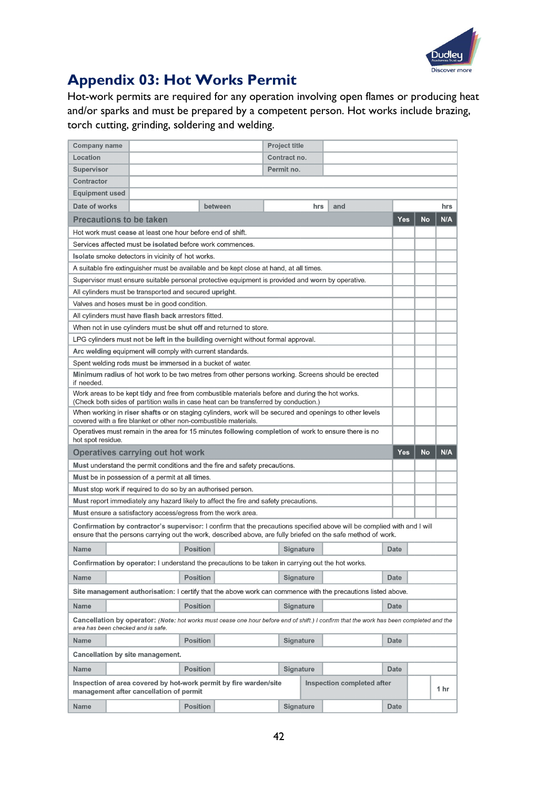

# <span id="page-41-0"></span>**Appendix 03: Hot Works Permit**

Hot-work permits are required for any operation involving open flames or producing heat and/or sparks and must be prepared by a competent person. Hot works include brazing, torch cutting, grinding, soldering and welding.

| <b>Company name</b>                                                                     |                                                                                                                                                                                                                                           |                                                           |         | <b>Project title</b> |     |                            |             |           |            |
|-----------------------------------------------------------------------------------------|-------------------------------------------------------------------------------------------------------------------------------------------------------------------------------------------------------------------------------------------|-----------------------------------------------------------|---------|----------------------|-----|----------------------------|-------------|-----------|------------|
| Location                                                                                |                                                                                                                                                                                                                                           |                                                           |         | Contract no.         |     |                            |             |           |            |
| <b>Supervisor</b>                                                                       |                                                                                                                                                                                                                                           |                                                           |         | Permit no.           |     |                            |             |           |            |
| <b>Contractor</b>                                                                       |                                                                                                                                                                                                                                           |                                                           |         |                      |     |                            |             |           |            |
| <b>Equipment used</b>                                                                   |                                                                                                                                                                                                                                           |                                                           |         |                      |     |                            |             |           |            |
| Date of works                                                                           |                                                                                                                                                                                                                                           |                                                           | between |                      | hrs | and                        |             |           | hrs        |
| <b>Precautions to be taken</b>                                                          |                                                                                                                                                                                                                                           |                                                           |         |                      |     |                            | <b>Yes</b>  | <b>No</b> | N/A        |
|                                                                                         | Hot work must cease at least one hour before end of shift.                                                                                                                                                                                |                                                           |         |                      |     |                            |             |           |            |
|                                                                                         | Services affected must be isolated before work commences.                                                                                                                                                                                 |                                                           |         |                      |     |                            |             |           |            |
|                                                                                         | Isolate smoke detectors in vicinity of hot works.                                                                                                                                                                                         |                                                           |         |                      |     |                            |             |           |            |
| A suitable fire extinguisher must be available and be kept close at hand, at all times. |                                                                                                                                                                                                                                           |                                                           |         |                      |     |                            |             |           |            |
|                                                                                         | Supervisor must ensure suitable personal protective equipment is provided and worn by operative.                                                                                                                                          |                                                           |         |                      |     |                            |             |           |            |
|                                                                                         | All cylinders must be transported and secured upright.                                                                                                                                                                                    |                                                           |         |                      |     |                            |             |           |            |
|                                                                                         | Valves and hoses must be in good condition.                                                                                                                                                                                               |                                                           |         |                      |     |                            |             |           |            |
|                                                                                         | All cylinders must have flash back arrestors fitted.                                                                                                                                                                                      |                                                           |         |                      |     |                            |             |           |            |
|                                                                                         | When not in use cylinders must be shut off and returned to store.                                                                                                                                                                         |                                                           |         |                      |     |                            |             |           |            |
|                                                                                         | LPG cylinders must not be left in the building overnight without formal approval.                                                                                                                                                         |                                                           |         |                      |     |                            |             |           |            |
|                                                                                         | Arc welding equipment will comply with current standards.                                                                                                                                                                                 |                                                           |         |                      |     |                            |             |           |            |
|                                                                                         |                                                                                                                                                                                                                                           | Spent welding rods must be immersed in a bucket of water. |         |                      |     |                            |             |           |            |
| if needed.                                                                              | Minimum radius of hot work to be two metres from other persons working. Screens should be erected                                                                                                                                         |                                                           |         |                      |     |                            |             |           |            |
|                                                                                         | Work areas to be kept tidy and free from combustible materials before and during the hot works.<br>(Check both sides of partition walls in case heat can be transferred by conduction.)                                                   |                                                           |         |                      |     |                            |             |           |            |
|                                                                                         | When working in riser shafts or on staging cylinders, work will be secured and openings to other levels<br>covered with a fire blanket or other non-combustible materials.                                                                |                                                           |         |                      |     |                            |             |           |            |
| hot spot residue.                                                                       | Operatives must remain in the area for 15 minutes following completion of work to ensure there is no                                                                                                                                      |                                                           |         |                      |     |                            |             |           |            |
|                                                                                         | Operatives carrying out hot work                                                                                                                                                                                                          |                                                           |         |                      |     |                            | <b>Yes</b>  | No        | <b>N/A</b> |
|                                                                                         | Must understand the permit conditions and the fire and safety precautions.                                                                                                                                                                |                                                           |         |                      |     |                            |             |           |            |
|                                                                                         | Must be in possession of a permit at all times.                                                                                                                                                                                           |                                                           |         |                      |     |                            |             |           |            |
|                                                                                         | Must stop work if required to do so by an authorised person.                                                                                                                                                                              |                                                           |         |                      |     |                            |             |           |            |
|                                                                                         | Must report immediately any hazard likely to affect the fire and safety precautions.                                                                                                                                                      |                                                           |         |                      |     |                            |             |           |            |
|                                                                                         | Must ensure a satisfactory access/egress from the work area.                                                                                                                                                                              |                                                           |         |                      |     |                            |             |           |            |
|                                                                                         | Confirmation by contractor's supervisor: I confirm that the precautions specified above will be complied with and I will<br>ensure that the persons carrying out the work, described above, are fully briefed on the safe method of work. |                                                           |         |                      |     |                            |             |           |            |
| <b>Name</b>                                                                             |                                                                                                                                                                                                                                           | <b>Position</b>                                           |         | <b>Signature</b>     |     |                            | <b>Date</b> |           |            |
|                                                                                         | Confirmation by operator: I understand the precautions to be taken in carrying out the hot works.                                                                                                                                         |                                                           |         |                      |     |                            |             |           |            |
| <b>Name</b>                                                                             |                                                                                                                                                                                                                                           | <b>Position</b>                                           |         | <b>Signature</b>     |     |                            | <b>Date</b> |           |            |
|                                                                                         | Site management authorisation: I certify that the above work can commence with the precautions listed above.                                                                                                                              |                                                           |         |                      |     |                            |             |           |            |
| <b>Name</b>                                                                             |                                                                                                                                                                                                                                           | <b>Position</b>                                           |         | <b>Signature</b>     |     |                            | <b>Date</b> |           |            |
| area has been checked and is safe.                                                      | <b>Cancellation by operator:</b> (Note: hot works must cease one hour before end of shift.) I confirm that the work has been completed and the                                                                                            |                                                           |         |                      |     |                            |             |           |            |
| <b>Name</b>                                                                             |                                                                                                                                                                                                                                           | <b>Position</b>                                           |         | <b>Signature</b>     |     |                            | <b>Date</b> |           |            |
| <b>Cancellation by site management.</b>                                                 |                                                                                                                                                                                                                                           |                                                           |         |                      |     |                            |             |           |            |
| <b>Name</b>                                                                             |                                                                                                                                                                                                                                           | <b>Position</b>                                           |         | <b>Signature</b>     |     |                            | <b>Date</b> |           |            |
|                                                                                         | Inspection of area covered by hot-work permit by fire warden/site<br>management after cancellation of permit                                                                                                                              |                                                           |         |                      |     | Inspection completed after |             |           | 1 hr       |
| <b>Name</b>                                                                             |                                                                                                                                                                                                                                           | <b>Position</b>                                           |         | <b>Signature</b>     |     |                            | <b>Date</b> |           |            |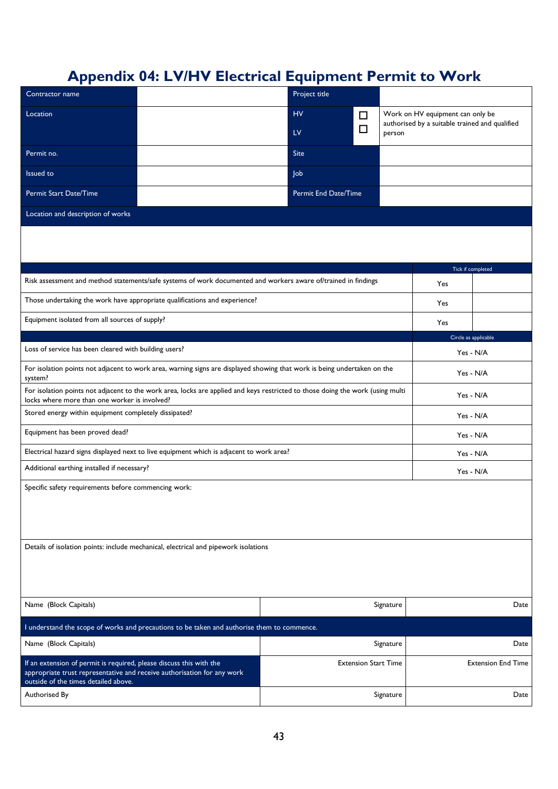# <span id="page-42-0"></span>**Appendix 04: LV/HV Electrical Equipment Permit to Work**

| Contractor name                                                                                                                                                                        |                                                                                                                |                             | Project title |                             |                      |                                                                                    |                           |  |  |
|----------------------------------------------------------------------------------------------------------------------------------------------------------------------------------------|----------------------------------------------------------------------------------------------------------------|-----------------------------|---------------|-----------------------------|----------------------|------------------------------------------------------------------------------------|---------------------------|--|--|
| Location                                                                                                                                                                               |                                                                                                                | <b>HV</b>                   |               | □                           |                      | Work on HV equipment can only be<br>authorised by a suitable trained and qualified |                           |  |  |
|                                                                                                                                                                                        |                                                                                                                | LV                          |               | □                           | person               |                                                                                    |                           |  |  |
| Permit no.                                                                                                                                                                             |                                                                                                                | Site                        |               |                             |                      |                                                                                    |                           |  |  |
| Issued to                                                                                                                                                                              |                                                                                                                | Job                         |               |                             |                      |                                                                                    |                           |  |  |
| Permit Start Date/Time                                                                                                                                                                 |                                                                                                                | <b>Permit End Date/Time</b> |               |                             |                      |                                                                                    |                           |  |  |
| Location and description of works                                                                                                                                                      |                                                                                                                |                             |               |                             |                      |                                                                                    |                           |  |  |
|                                                                                                                                                                                        |                                                                                                                |                             |               |                             |                      |                                                                                    |                           |  |  |
|                                                                                                                                                                                        |                                                                                                                |                             |               |                             |                      |                                                                                    |                           |  |  |
|                                                                                                                                                                                        |                                                                                                                |                             |               |                             |                      |                                                                                    | Tick if completed         |  |  |
|                                                                                                                                                                                        | Risk assessment and method statements/safe systems of work documented and workers aware of/trained in findings |                             |               |                             |                      | Yes                                                                                |                           |  |  |
|                                                                                                                                                                                        | Those undertaking the work have appropriate qualifications and experience?                                     |                             |               |                             |                      | Yes                                                                                |                           |  |  |
| Equipment isolated from all sources of supply?                                                                                                                                         |                                                                                                                |                             |               |                             | Yes                  |                                                                                    |                           |  |  |
|                                                                                                                                                                                        |                                                                                                                |                             |               |                             | Circle as applicable |                                                                                    |                           |  |  |
| Loss of service has been cleared with building users?                                                                                                                                  |                                                                                                                |                             |               |                             | Yes - N/A            |                                                                                    |                           |  |  |
| For isolation points not adjacent to work area, warning signs are displayed showing that work is being undertaken on the<br>system?                                                    |                                                                                                                |                             |               |                             | Yes - N/A            |                                                                                    |                           |  |  |
| For isolation points not adjacent to the work area, locks are applied and keys restricted to those doing the work (using multi<br>locks where more than one worker is involved?        |                                                                                                                |                             |               |                             | Yes - N/A            |                                                                                    |                           |  |  |
| Stored energy within equipment completely dissipated?                                                                                                                                  |                                                                                                                |                             |               |                             |                      | Yes - N/A                                                                          |                           |  |  |
| Equipment has been proved dead?                                                                                                                                                        |                                                                                                                |                             |               |                             |                      | Yes - N/A                                                                          |                           |  |  |
|                                                                                                                                                                                        | Electrical hazard signs displayed next to live equipment which is adjacent to work area?                       |                             |               |                             |                      | Yes - N/A                                                                          |                           |  |  |
| Additional earthing installed if necessary?                                                                                                                                            |                                                                                                                |                             |               |                             |                      | Yes - N/A                                                                          |                           |  |  |
| Specific safety requirements before commencing work:                                                                                                                                   |                                                                                                                |                             |               |                             |                      |                                                                                    |                           |  |  |
| Details of isolation points: include mechanical, electrical and pipework isolations                                                                                                    |                                                                                                                |                             |               |                             |                      |                                                                                    |                           |  |  |
| Name (Block Capitals)                                                                                                                                                                  |                                                                                                                |                             |               |                             | Signature            |                                                                                    | Date                      |  |  |
|                                                                                                                                                                                        | I understand the scope of works and precautions to be taken and authorise them to commence.                    |                             |               |                             |                      |                                                                                    |                           |  |  |
| Name (Block Capitals)                                                                                                                                                                  |                                                                                                                |                             |               |                             | Signature            |                                                                                    | Date                      |  |  |
| If an extension of permit is required, please discuss this with the<br>appropriate trust representative and receive authorisation for any work<br>outside of the times detailed above. |                                                                                                                |                             |               | <b>Extension Start Time</b> |                      |                                                                                    | <b>Extension End Time</b> |  |  |
| Authorised By                                                                                                                                                                          |                                                                                                                |                             |               |                             | Signature            |                                                                                    | Date                      |  |  |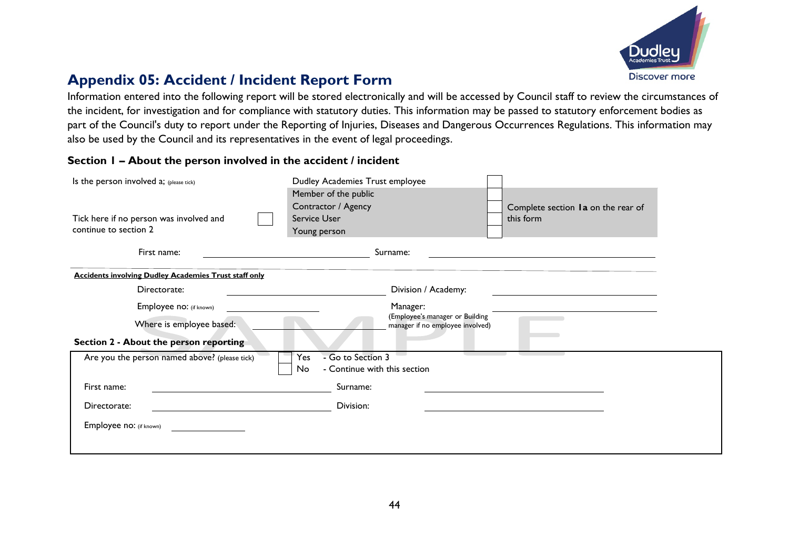

## **Appendix 05: Accident / Incident Report Form**

Information entered into the following report will be stored electronically and will be accessed by Council staff to review the circumstances of the incident, for investigation and for compliance with statutory duties. This information may be passed to statutory enforcement bodies as part of the Council's duty to report under the Reporting of Injuries, Diseases and Dangerous Occurrences Regulations. This information may also be used by the Council and its representatives in the event of legal proceedings.

#### **Section 1 – About the person involved in the accident / incident**

<span id="page-43-0"></span>

| Is the person involved a; (please tick)                          | Dudley Academies Trust employee<br>Member of the public<br>Contractor / Agency<br>Service User |                                                                     | Complete section Ia on the rear of |
|------------------------------------------------------------------|------------------------------------------------------------------------------------------------|---------------------------------------------------------------------|------------------------------------|
| Tick here if no person was involved and<br>continue to section 2 | Young person                                                                                   |                                                                     | this form                          |
| First name:                                                      |                                                                                                | Surname:                                                            |                                    |
| <b>Accidents involving Dudley Academies Trust staff only</b>     |                                                                                                |                                                                     |                                    |
| Directorate:                                                     |                                                                                                | Division / Academy:                                                 |                                    |
| Employee no: (if known)                                          |                                                                                                | Manager:                                                            |                                    |
| Where is employee based:                                         |                                                                                                | (Employee's manager or Building<br>manager if no employee involved) |                                    |
| Section 2 - About the person reporting                           |                                                                                                |                                                                     |                                    |
| Are you the person named above? (please tick)                    | Yes<br>- Go to Section 3<br>- Continue with this section<br>No.                                |                                                                     |                                    |
| First name:                                                      | Surname:                                                                                       |                                                                     |                                    |
| Directorate:                                                     | Division:                                                                                      |                                                                     |                                    |
| Employee no: (if known)                                          |                                                                                                |                                                                     |                                    |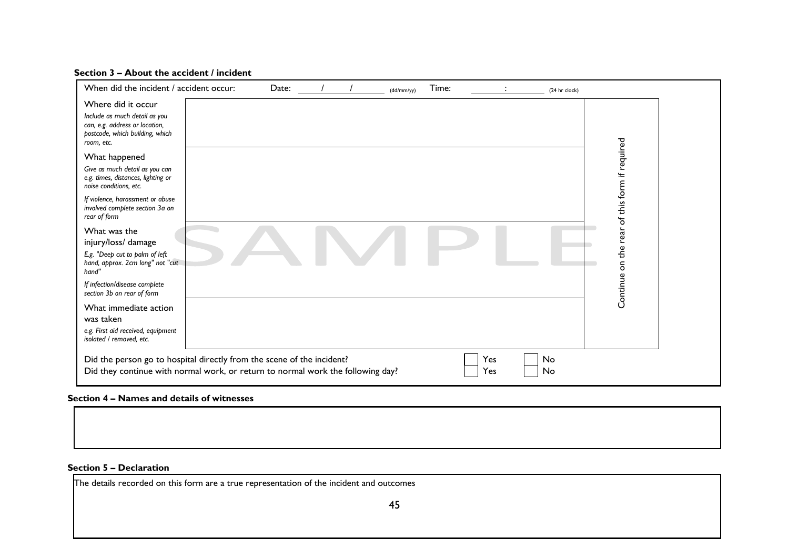#### **Section 3 – About the accident / incident**

| When did the incident / accident occur:                                                                                                                   | Date: |  | (dd/mm/yy) | Time: |            | (24 hr clock) |                          |  |
|-----------------------------------------------------------------------------------------------------------------------------------------------------------|-------|--|------------|-------|------------|---------------|--------------------------|--|
| Where did it occur<br>Include as much detail as you<br>can, e.g. address or location,<br>postcode, which building, which<br>room, etc.                    |       |  |            |       |            |               |                          |  |
| What happened<br>Give as much detail as you can<br>e.g. times, distances, lighting or<br>noise conditions, etc.                                           |       |  |            |       |            |               | of this form if required |  |
| If violence, harassment or abuse<br>involved complete section 3a on<br>rear of form                                                                       |       |  |            |       |            |               |                          |  |
| What was the<br>injury/loss/ damage                                                                                                                       |       |  |            |       |            |               | ear<br>ω                 |  |
| E.g. "Deep cut to palm of left<br>hand, approx. 2cm long" not "cut<br>hand'                                                                               |       |  |            |       |            |               | 흔<br>5                   |  |
| If infection/disease complete<br>section 3b on rear of form                                                                                               |       |  |            |       |            |               | Continue                 |  |
| What immediate action<br>was taken                                                                                                                        |       |  |            |       |            |               |                          |  |
| e.g. First aid received, equipment<br>isolated / removed, etc.                                                                                            |       |  |            |       |            |               |                          |  |
| Did the person go to hospital directly from the scene of the incident?<br>Did they continue with normal work, or return to normal work the following day? |       |  |            |       | Yes<br>Yes | No<br>No      |                          |  |

#### **Section 4 – Names and details of witnesses**

#### **Section 5 – Declaration**

The details recorded on this form are a true representation of the incident and outcomes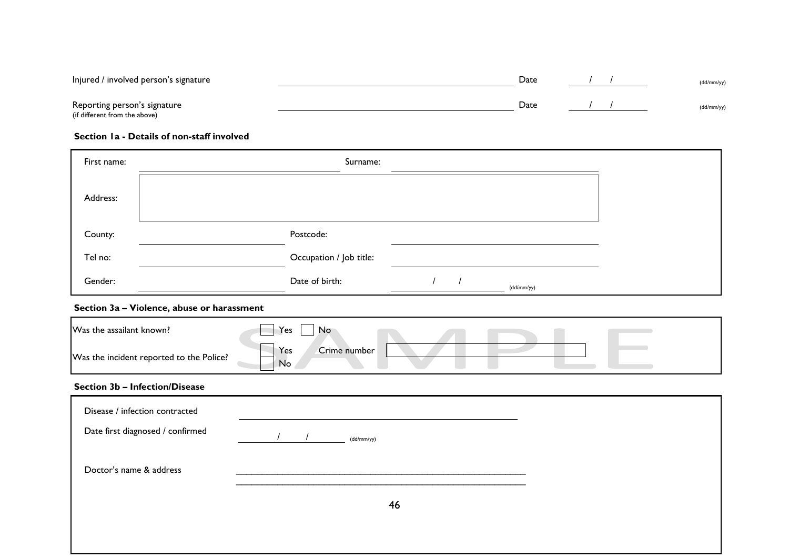| Injured / involved person's signature                         | Date |  | (dd/mm/yy) |
|---------------------------------------------------------------|------|--|------------|
| Reporting person's signature<br>(if different from the above) | Date |  | (dd/mm/yy) |

#### **Section 1a - Details of non-staff involved**

| First name: | Surname:                     |  |
|-------------|------------------------------|--|
| Address:    |                              |  |
| County:     | Postcode:                    |  |
| Tel no:     | Occupation / Job title:      |  |
| Gender:     | Date of birth:<br>(dd/mm/yy) |  |

#### **Section 3a – Violence, abuse or harassment**

| Was the assailant known?                 | Yes<br>No                 |  |
|------------------------------------------|---------------------------|--|
| Was the incident reported to the Police? | Crime number<br>Yes<br>No |  |

#### **Section 3b – Infection/Disease**

| Disease / infection contracted   |            |  |
|----------------------------------|------------|--|
| Date first diagnosed / confirmed | (dd/mm/yy) |  |
| Doctor's name & address          |            |  |
|                                  | 46         |  |
|                                  |            |  |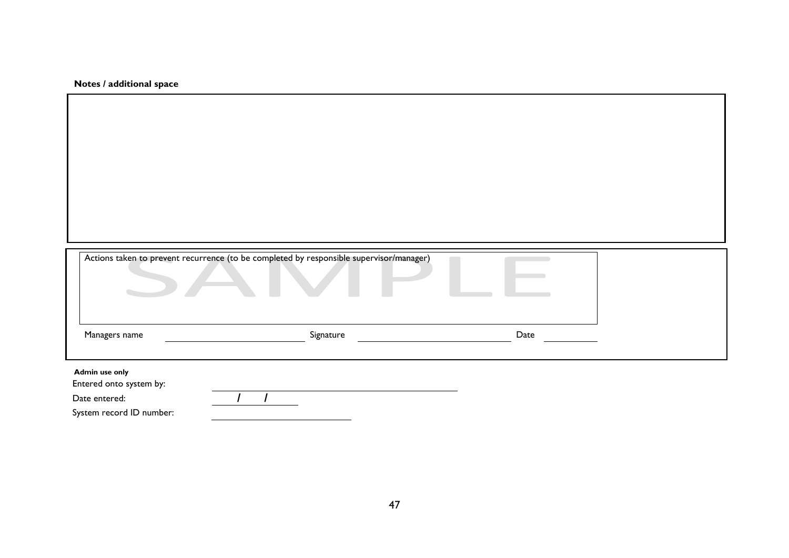**Notes / additional space**

|                                                                                        | Actions taken to prevent recurrence (to be completed by responsible supervisor/manager) |      |  |
|----------------------------------------------------------------------------------------|-----------------------------------------------------------------------------------------|------|--|
| Managers name                                                                          | Signature                                                                               | Date |  |
| Admin use only<br>Entered onto system by:<br>Date entered:<br>System record ID number: |                                                                                         |      |  |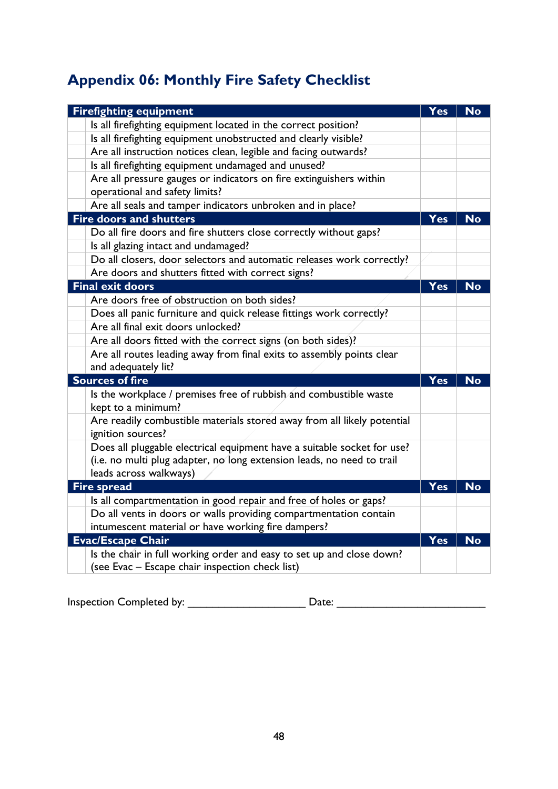# <span id="page-47-0"></span>**Appendix 06: Monthly Fire Safety Checklist**

| <b>Firefighting equipment</b>                                                                | Yes        | <b>No</b> |
|----------------------------------------------------------------------------------------------|------------|-----------|
| Is all firefighting equipment located in the correct position?                               |            |           |
| Is all firefighting equipment unobstructed and clearly visible?                              |            |           |
| Are all instruction notices clean, legible and facing outwards?                              |            |           |
| Is all firefighting equipment undamaged and unused?                                          |            |           |
| Are all pressure gauges or indicators on fire extinguishers within                           |            |           |
| operational and safety limits?                                                               |            |           |
| Are all seals and tamper indicators unbroken and in place?                                   |            |           |
| <b>Fire doors and shutters</b>                                                               | Yes        | <b>No</b> |
| Do all fire doors and fire shutters close correctly without gaps?                            |            |           |
| Is all glazing intact and undamaged?                                                         |            |           |
| Do all closers, door selectors and automatic releases work correctly?                        |            |           |
| Are doors and shutters fitted with correct signs?                                            |            |           |
| <b>Final exit doors</b>                                                                      | Yes        | <b>No</b> |
| Are doors free of obstruction on both sides?                                                 |            |           |
| Does all panic furniture and quick release fittings work correctly?                          |            |           |
| Are all final exit doors unlocked?                                                           |            |           |
| Are all doors fitted with the correct signs (on both sides)?                                 |            |           |
| Are all routes leading away from final exits to assembly points clear                        |            |           |
| and adequately lit?                                                                          |            |           |
| <b>Sources of fire</b>                                                                       | <b>Yes</b> | <b>No</b> |
| Is the workplace / premises free of rubbish and combustible waste<br>kept to a minimum?      |            |           |
| Are readily combustible materials stored away from all likely potential<br>ignition sources? |            |           |
| Does all pluggable electrical equipment have a suitable socket for use?                      |            |           |
| (i.e. no multi plug adapter, no long extension leads, no need to trail                       |            |           |
| leads across walkways)                                                                       |            |           |
| <b>Fire spread</b>                                                                           | Yes        | <b>No</b> |
| Is all compartmentation in good repair and free of holes or gaps?                            |            |           |
| Do all vents in doors or walls providing compartmentation contain                            |            |           |
| intumescent material or have working fire dampers?                                           |            |           |
| <b>Evac/Escape Chair</b>                                                                     |            | <b>No</b> |
| Is the chair in full working order and easy to set up and close down?                        |            |           |
| (see Evac - Escape chair inspection check list)                                              |            |           |

<span id="page-47-1"></span>Inspection Completed by: \_\_\_\_\_\_\_\_\_\_\_\_\_\_\_\_\_\_\_ Date: \_\_\_\_\_\_\_\_\_\_\_\_\_\_\_\_\_\_\_\_\_\_\_\_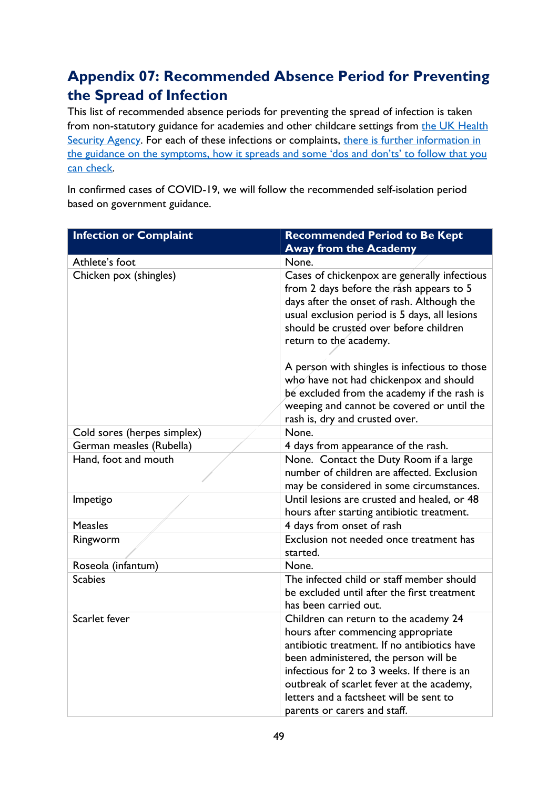# <span id="page-48-0"></span>**Appendix 07: Recommended Absence Period for Preventing the Spread of Infection**

This list of recommended absence periods for preventing the spread of infection is taken from non-statutory guidance for academies and other childcare settings from [the](https://www.publichealth.hscni.net/sites/default/files/Guidance_on_infection_control_in%20schools_poster.pdf) UK Health [Security Agency.](https://www.gov.uk/government/organisations/uk-health-security-agency) For each of these infections or complaints, [there is further information in](https://www.gov.uk/government/publications/health-protection-in-schools-and-other-childcare-facilities/chapter-9-managing-specific-infectious-diseases)  [the guidance on the symptoms, how it spreads and some 'dos](https://www.gov.uk/government/publications/health-protection-in-schools-and-other-childcare-facilities/chapter-9-managing-specific-infectious-diseases) and don'ts' to follow that you [can check.](https://www.gov.uk/government/publications/health-protection-in-schools-and-other-childcare-facilities/chapter-9-managing-specific-infectious-diseases)

In confirmed cases of COVID-19, we will follow the recommended self-isolation period based on government guidance.

| <b>Infection or Complaint</b> | <b>Recommended Period to Be Kept</b>                                                                                                                                                                                                                                                                                                        |
|-------------------------------|---------------------------------------------------------------------------------------------------------------------------------------------------------------------------------------------------------------------------------------------------------------------------------------------------------------------------------------------|
|                               | <b>Away from the Academy</b>                                                                                                                                                                                                                                                                                                                |
| Athlete's foot                | None.                                                                                                                                                                                                                                                                                                                                       |
| Chicken pox (shingles)        | Cases of chickenpox are generally infectious<br>from 2 days before the rash appears to 5<br>days after the onset of rash. Although the<br>usual exclusion period is 5 days, all lesions<br>should be crusted over before children<br>return to the academy.                                                                                 |
|                               | A person with shingles is infectious to those<br>who have not had chickenpox and should<br>be excluded from the academy if the rash is<br>weeping and cannot be covered or until the<br>rash is, dry and crusted over.                                                                                                                      |
| Cold sores (herpes simplex)   | None.                                                                                                                                                                                                                                                                                                                                       |
| German measles (Rubella)      | 4 days from appearance of the rash.                                                                                                                                                                                                                                                                                                         |
| Hand, foot and mouth          | None. Contact the Duty Room if a large<br>number of children are affected. Exclusion<br>may be considered in some circumstances.                                                                                                                                                                                                            |
| Impetigo                      | Until lesions are crusted and healed, or 48<br>hours after starting antibiotic treatment.                                                                                                                                                                                                                                                   |
| <b>Measles</b>                | 4 days from onset of rash                                                                                                                                                                                                                                                                                                                   |
| Ringworm                      | Exclusion not needed once treatment has<br>started.                                                                                                                                                                                                                                                                                         |
| Roseola (infantum)            | None.                                                                                                                                                                                                                                                                                                                                       |
| <b>Scabies</b>                | The infected child or staff member should<br>be excluded until after the first treatment<br>has been carried out.                                                                                                                                                                                                                           |
| Scarlet fever                 | Children can return to the academy 24<br>hours after commencing appropriate<br>antibiotic treatment. If no antibiotics have<br>been administered, the person will be<br>infectious for 2 to 3 weeks. If there is an<br>outbreak of scarlet fever at the academy,<br>letters and a factsheet will be sent to<br>parents or carers and staff. |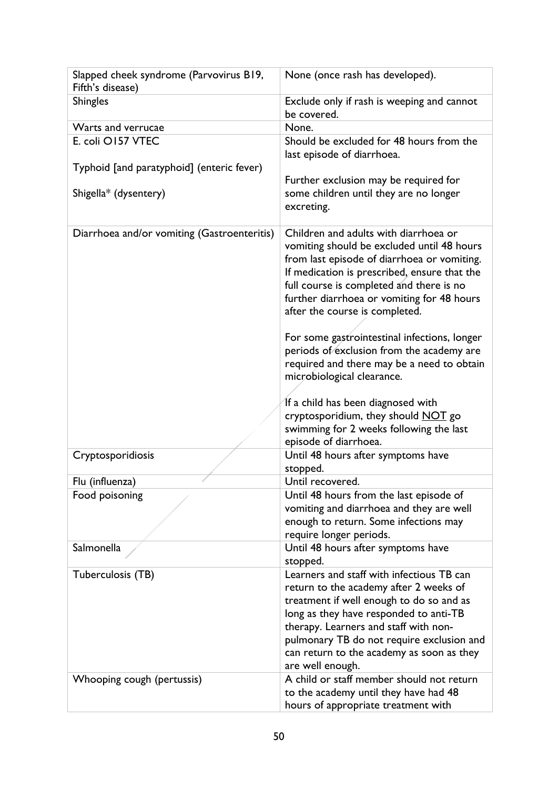| Slapped cheek syndrome (Parvovirus B19,<br>Fifth's disease) | None (once rash has developed).                                                                                                                                                                                                                                                                                                                                                                                                                                                                                                                                                                                 |  |
|-------------------------------------------------------------|-----------------------------------------------------------------------------------------------------------------------------------------------------------------------------------------------------------------------------------------------------------------------------------------------------------------------------------------------------------------------------------------------------------------------------------------------------------------------------------------------------------------------------------------------------------------------------------------------------------------|--|
| <b>Shingles</b>                                             | Exclude only if rash is weeping and cannot<br>be covered.                                                                                                                                                                                                                                                                                                                                                                                                                                                                                                                                                       |  |
| Warts and verrucae                                          | None.                                                                                                                                                                                                                                                                                                                                                                                                                                                                                                                                                                                                           |  |
| E. coli O157 VTEC                                           | Should be excluded for 48 hours from the<br>last episode of diarrhoea.                                                                                                                                                                                                                                                                                                                                                                                                                                                                                                                                          |  |
| Typhoid [and paratyphoid] (enteric fever)                   |                                                                                                                                                                                                                                                                                                                                                                                                                                                                                                                                                                                                                 |  |
| Shigella* (dysentery)                                       | Further exclusion may be required for<br>some children until they are no longer<br>excreting.                                                                                                                                                                                                                                                                                                                                                                                                                                                                                                                   |  |
| Diarrhoea and/or vomiting (Gastroenteritis)                 | Children and adults with diarrhoea or<br>vomiting should be excluded until 48 hours<br>from last episode of diarrhoea or vomiting.<br>If medication is prescribed, ensure that the<br>full course is completed and there is no<br>further diarrhoea or vomiting for 48 hours<br>after the course is completed.<br>For some gastrointestinal infections, longer<br>periods of exclusion from the academy are<br>required and there may be a need to obtain<br>microbiological clearance.<br>If a child has been diagnosed with<br>cryptosporidium, they should NOT go<br>swimming for 2 weeks following the last |  |
|                                                             | episode of diarrhoea.                                                                                                                                                                                                                                                                                                                                                                                                                                                                                                                                                                                           |  |
| Cryptosporidiosis                                           | Until 48 hours after symptoms have<br>stopped.                                                                                                                                                                                                                                                                                                                                                                                                                                                                                                                                                                  |  |
| Flu (influenza)                                             | Until recovered.                                                                                                                                                                                                                                                                                                                                                                                                                                                                                                                                                                                                |  |
| Food poisoning                                              | Until 48 hours from the last episode of                                                                                                                                                                                                                                                                                                                                                                                                                                                                                                                                                                         |  |
|                                                             | vomiting and diarrhoea and they are well                                                                                                                                                                                                                                                                                                                                                                                                                                                                                                                                                                        |  |
|                                                             | enough to return. Some infections may                                                                                                                                                                                                                                                                                                                                                                                                                                                                                                                                                                           |  |
|                                                             | require longer periods.                                                                                                                                                                                                                                                                                                                                                                                                                                                                                                                                                                                         |  |
| Salmonella                                                  | Until 48 hours after symptoms have<br>stopped.                                                                                                                                                                                                                                                                                                                                                                                                                                                                                                                                                                  |  |
| Tuberculosis (TB)                                           | Learners and staff with infectious TB can                                                                                                                                                                                                                                                                                                                                                                                                                                                                                                                                                                       |  |
|                                                             | return to the academy after 2 weeks of<br>treatment if well enough to do so and as<br>long as they have responded to anti-TB<br>therapy. Learners and staff with non-<br>pulmonary TB do not require exclusion and<br>can return to the academy as soon as they<br>are well enough.                                                                                                                                                                                                                                                                                                                             |  |
| Whooping cough (pertussis)                                  | A child or staff member should not return<br>to the academy until they have had 48<br>hours of appropriate treatment with                                                                                                                                                                                                                                                                                                                                                                                                                                                                                       |  |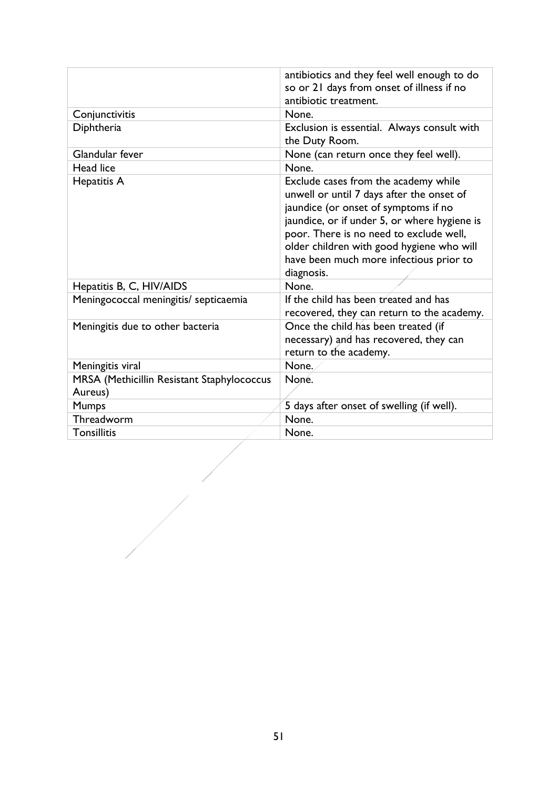|                                                       | antibiotics and they feel well enough to do<br>so or 21 days from onset of illness if no<br>antibiotic treatment.                                                                                                                                                                                                          |  |
|-------------------------------------------------------|----------------------------------------------------------------------------------------------------------------------------------------------------------------------------------------------------------------------------------------------------------------------------------------------------------------------------|--|
| Conjunctivitis                                        | None.                                                                                                                                                                                                                                                                                                                      |  |
| Diphtheria                                            | Exclusion is essential. Always consult with<br>the Duty Room.                                                                                                                                                                                                                                                              |  |
| Glandular fever                                       | None (can return once they feel well).                                                                                                                                                                                                                                                                                     |  |
| Head lice                                             | None.                                                                                                                                                                                                                                                                                                                      |  |
| Hepatitis A                                           | Exclude cases from the academy while<br>unwell or until 7 days after the onset of<br>jaundice (or onset of symptoms if no<br>jaundice, or if under 5, or where hygiene is<br>poor. There is no need to exclude well,<br>older children with good hygiene who will<br>have been much more infectious prior to<br>diagnosis. |  |
| Hepatitis B, C, HIV/AIDS                              | None.                                                                                                                                                                                                                                                                                                                      |  |
| Meningococcal meningitis/ septicaemia                 | If the child has been treated and has<br>recovered, they can return to the academy.                                                                                                                                                                                                                                        |  |
| Meningitis due to other bacteria                      | Once the child has been treated (if<br>necessary) and has recovered, they can<br>return to the academy.                                                                                                                                                                                                                    |  |
| Meningitis viral                                      | None.                                                                                                                                                                                                                                                                                                                      |  |
| MRSA (Methicillin Resistant Staphylococcus<br>Aureus) | None.                                                                                                                                                                                                                                                                                                                      |  |
| <b>Mumps</b>                                          | 5 days after onset of swelling (if well).                                                                                                                                                                                                                                                                                  |  |
| Threadworm                                            | None.                                                                                                                                                                                                                                                                                                                      |  |
| <b>Tonsillitis</b>                                    | None.                                                                                                                                                                                                                                                                                                                      |  |